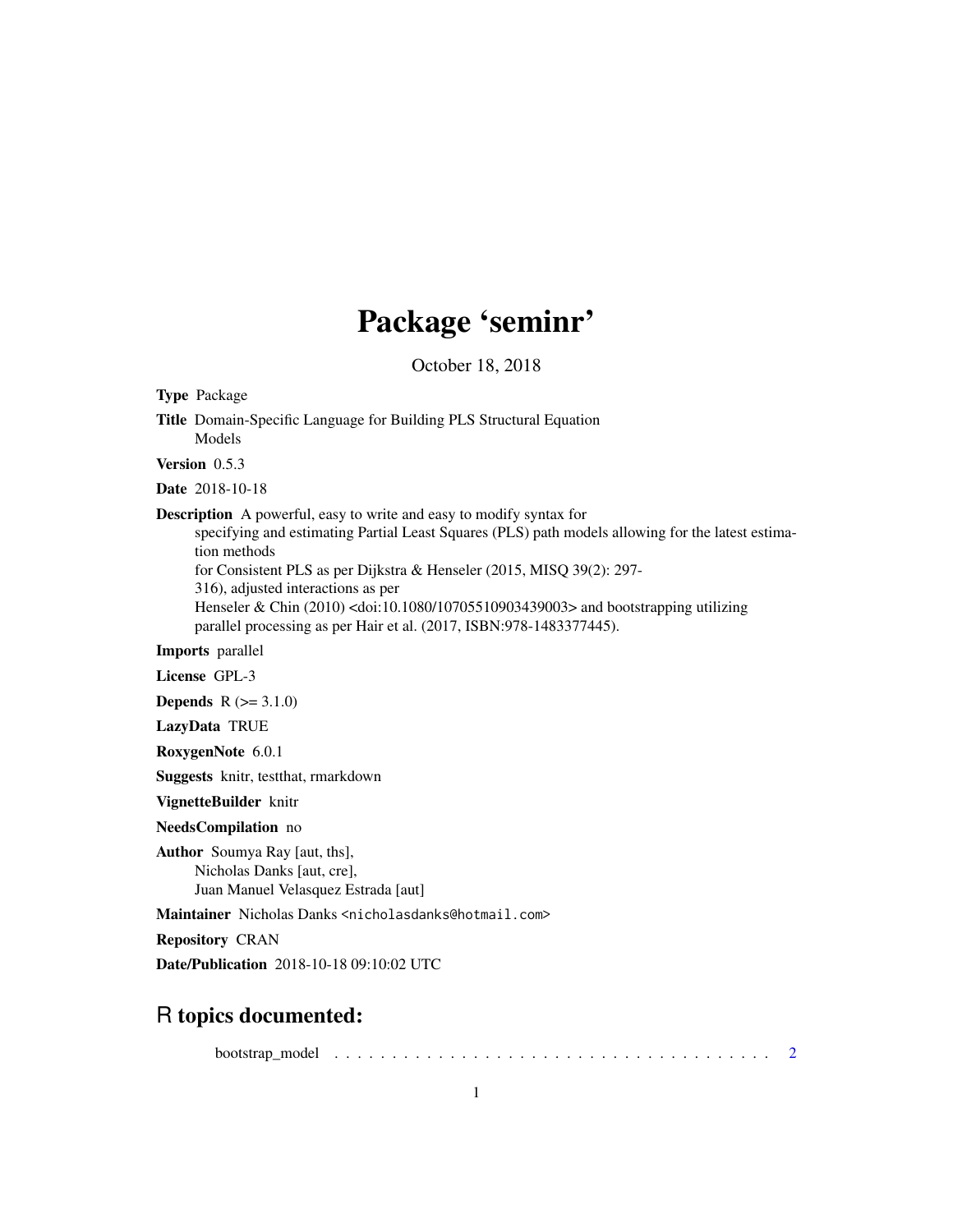## Package 'seminr'

October 18, 2018

| <b>Type Package</b>                  |                                                                                                                                                                                                                                                                                                                                                                                                                                                                                |
|--------------------------------------|--------------------------------------------------------------------------------------------------------------------------------------------------------------------------------------------------------------------------------------------------------------------------------------------------------------------------------------------------------------------------------------------------------------------------------------------------------------------------------|
| Models                               | Title Domain-Specific Language for Building PLS Structural Equation                                                                                                                                                                                                                                                                                                                                                                                                            |
| Version $0.5.3$                      |                                                                                                                                                                                                                                                                                                                                                                                                                                                                                |
| <b>Date</b> 2018-10-18               |                                                                                                                                                                                                                                                                                                                                                                                                                                                                                |
| tion methods                         | <b>Description</b> A powerful, easy to write and easy to modify syntax for<br>specifying and estimating Partial Least Squares (PLS) path models allowing for the latest estima-<br>for Consistent PLS as per Dijkstra & Henseler (2015, MISQ 39(2): 297-<br>316), adjusted interactions as per<br>Henseler & Chin (2010) <doi:10.1080 10705510903439003=""> and bootstrapping utilizing<br/>parallel processing as per Hair et al. (2017, ISBN: 978-1483377445).</doi:10.1080> |
| Imports parallel                     |                                                                                                                                                                                                                                                                                                                                                                                                                                                                                |
| License GPL-3                        |                                                                                                                                                                                                                                                                                                                                                                                                                                                                                |
| <b>Depends</b> $R (= 3.1.0)$         |                                                                                                                                                                                                                                                                                                                                                                                                                                                                                |
| LazyData TRUE                        |                                                                                                                                                                                                                                                                                                                                                                                                                                                                                |
| RoxygenNote 6.0.1                    |                                                                                                                                                                                                                                                                                                                                                                                                                                                                                |
|                                      | Suggests knitr, testthat, rmarkdown                                                                                                                                                                                                                                                                                                                                                                                                                                            |
| VignetteBuilder knitr                |                                                                                                                                                                                                                                                                                                                                                                                                                                                                                |
| NeedsCompilation no                  |                                                                                                                                                                                                                                                                                                                                                                                                                                                                                |
| <b>Author</b> Soumya Ray [aut, ths], | Nicholas Danks [aut, cre],<br>Juan Manuel Velasquez Estrada [aut]                                                                                                                                                                                                                                                                                                                                                                                                              |
|                                      | Maintainer Nicholas Danks <nicholasdanks@hotmail.com></nicholasdanks@hotmail.com>                                                                                                                                                                                                                                                                                                                                                                                              |
| <b>Repository CRAN</b>               |                                                                                                                                                                                                                                                                                                                                                                                                                                                                                |
|                                      | <b>Date/Publication</b> 2018-10-18 09:10:02 UTC                                                                                                                                                                                                                                                                                                                                                                                                                                |
|                                      |                                                                                                                                                                                                                                                                                                                                                                                                                                                                                |

## R topics documented:

bootstrap\_model . . . . . . . . . . . . . . . . . . . . . . . . . . . . . . . . . . . . . . [2](#page-1-0)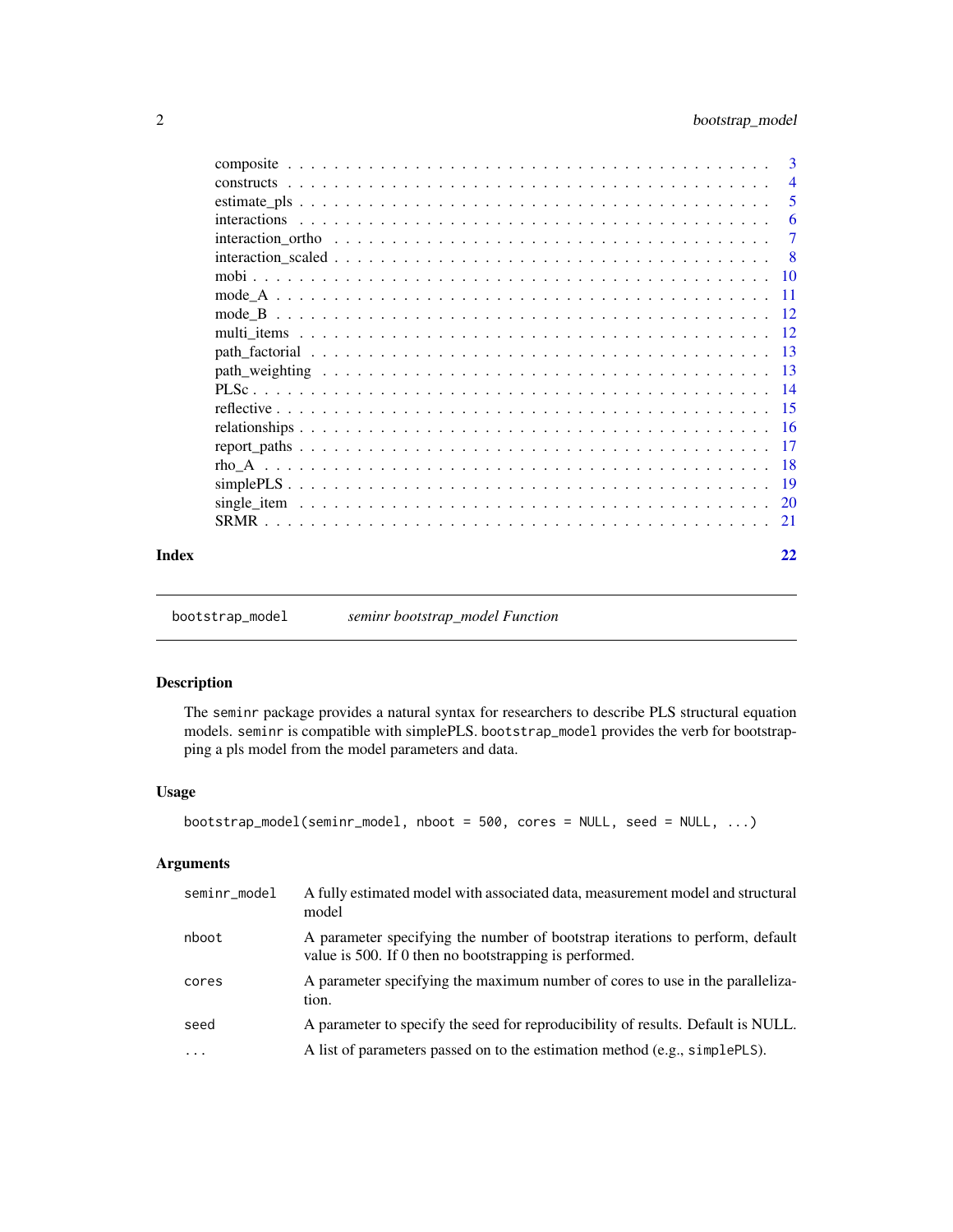<span id="page-1-0"></span>

|       |        | - 5 |
|-------|--------|-----|
|       |        |     |
|       |        |     |
|       |        |     |
|       |        |     |
|       |        |     |
|       | mode B |     |
|       |        |     |
|       |        |     |
|       |        |     |
|       |        |     |
|       |        |     |
|       |        |     |
|       |        |     |
|       |        |     |
|       |        |     |
|       |        |     |
|       |        |     |
| Index |        | 22  |

<span id="page-1-1"></span>bootstrap\_model *seminr bootstrap\_model Function*

#### Description

The seminr package provides a natural syntax for researchers to describe PLS structural equation models. seminr is compatible with simplePLS. bootstrap\_model provides the verb for bootstrapping a pls model from the model parameters and data.

#### Usage

```
bootstrap_model(seminr_model, nboot = 500, cores = NULL, seed = NULL, ...)
```
#### Arguments

| seminr_model | A fully estimated model with associated data, measurement model and structural<br>model                                                 |
|--------------|-----------------------------------------------------------------------------------------------------------------------------------------|
| nboot        | A parameter specifying the number of bootstrap iterations to perform, default<br>value is 500. If 0 then no bootstrapping is performed. |
| cores        | A parameter specifying the maximum number of cores to use in the paralleliza-<br>tion.                                                  |
| seed         | A parameter to specify the seed for reproducibility of results. Default is NULL.                                                        |
| $\ddots$     | A list of parameters passed on to the estimation method (e.g., simplePLS).                                                              |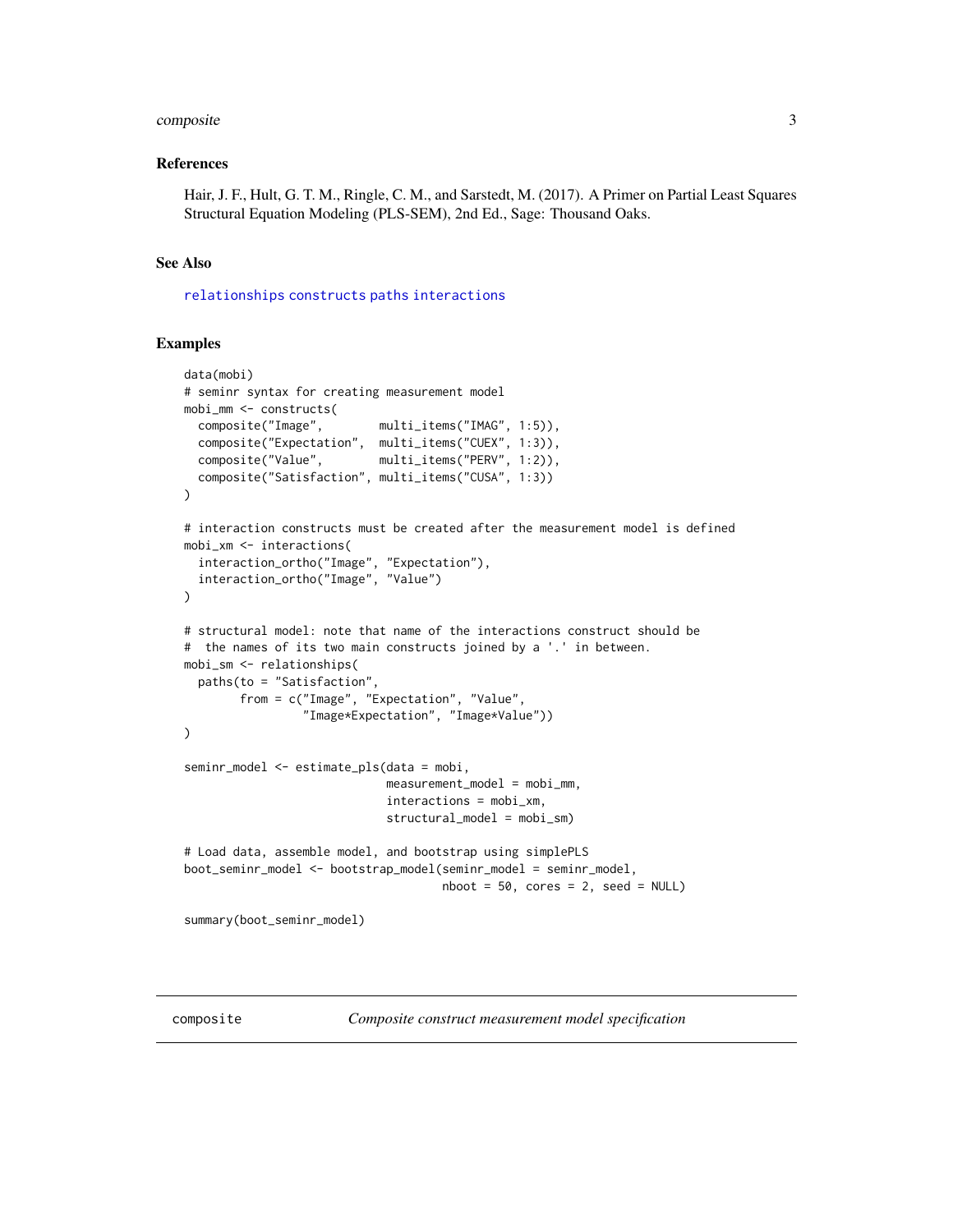#### <span id="page-2-0"></span>composite 3

#### References

Hair, J. F., Hult, G. T. M., Ringle, C. M., and Sarstedt, M. (2017). A Primer on Partial Least Squares Structural Equation Modeling (PLS-SEM), 2nd Ed., Sage: Thousand Oaks.

#### See Also

[relationships](#page-15-1) [constructs](#page-3-1) [paths](#page-15-2) [interactions](#page-5-1)

#### Examples

```
data(mobi)
# seminr syntax for creating measurement model
mobi_mm <- constructs(
  composite("Image", multi_items("IMAG", 1:5)),
  composite("Expectation", multi_items("CUEX", 1:3)),<br>composite("Value", multi_items("PERV", 1:2)),
                             multi_items("PERV", 1:2)),
  composite("Satisfaction", multi_items("CUSA", 1:3))
)
# interaction constructs must be created after the measurement model is defined
mobi_xm <- interactions(
  interaction_ortho("Image", "Expectation"),
  interaction_ortho("Image", "Value")
\lambda# structural model: note that name of the interactions construct should be
# the names of its two main constructs joined by a '.' in between.
mobi_sm <- relationships(
  paths(to = "Satisfaction",
        from = c("Image", "Expectation", "Value",
                  "Image*Expectation", "Image*Value"))
)
seminr_model <- estimate_pls(data = mobi,
                              measurement_model = mobi_m,interactions = mobi_xm,
                              structural_model = mobi_sm)
# Load data, assemble model, and bootstrap using simplePLS
boot_seminr_model <- bootstrap_model(seminr_model = seminr_model,
                                       nboot = 50, cores = 2, seed = NULL)
summary(boot_seminr_model)
```
<span id="page-2-1"></span>composite *Composite construct measurement model specification*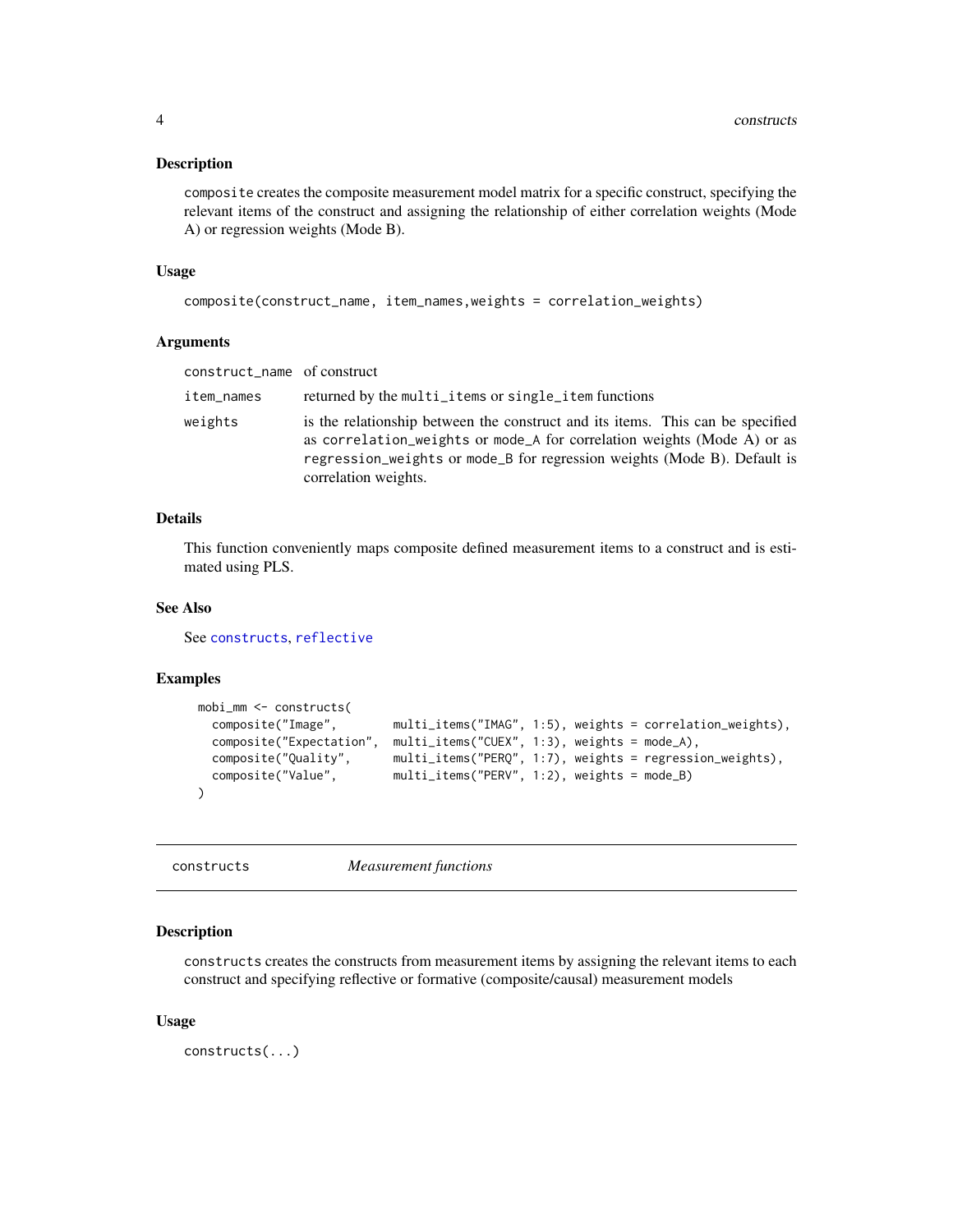<span id="page-3-0"></span>composite creates the composite measurement model matrix for a specific construct, specifying the relevant items of the construct and assigning the relationship of either correlation weights (Mode A) or regression weights (Mode B).

#### Usage

```
composite(construct_name, item_names,weights = correlation_weights)
```
#### Arguments

| construct_name of construct |                                                                                                                                                                                                                                                               |
|-----------------------------|---------------------------------------------------------------------------------------------------------------------------------------------------------------------------------------------------------------------------------------------------------------|
| item_names                  | returned by the multi_items or single_item functions                                                                                                                                                                                                          |
| weights                     | is the relationship between the construct and its items. This can be specified<br>as correlation_weights or mode_A for correlation weights (Mode A) or as<br>regression_weights or mode_B for regression weights (Mode B). Default is<br>correlation weights. |

#### Details

This function conveniently maps composite defined measurement items to a construct and is estimated using PLS.

#### See Also

See [constructs](#page-3-1), [reflective](#page-14-1)

#### Examples

```
mobi_mm <- constructs(
 composite("Image", multi_items("IMAG", 1:5), weights = correlation_weights),
 composite("Expectation", multi_items("CUEX", 1:3), weights = mode_A),
 composite("Quality", multi_items("PERQ", 1:7), weights = regression_weights),
 composite("Value", multi_items("PERV", 1:2), weights = mode_B)
)
```
constructs *Measurement functions*

#### Description

constructs creates the constructs from measurement items by assigning the relevant items to each construct and specifying reflective or formative (composite/causal) measurement models

#### Usage

constructs(...)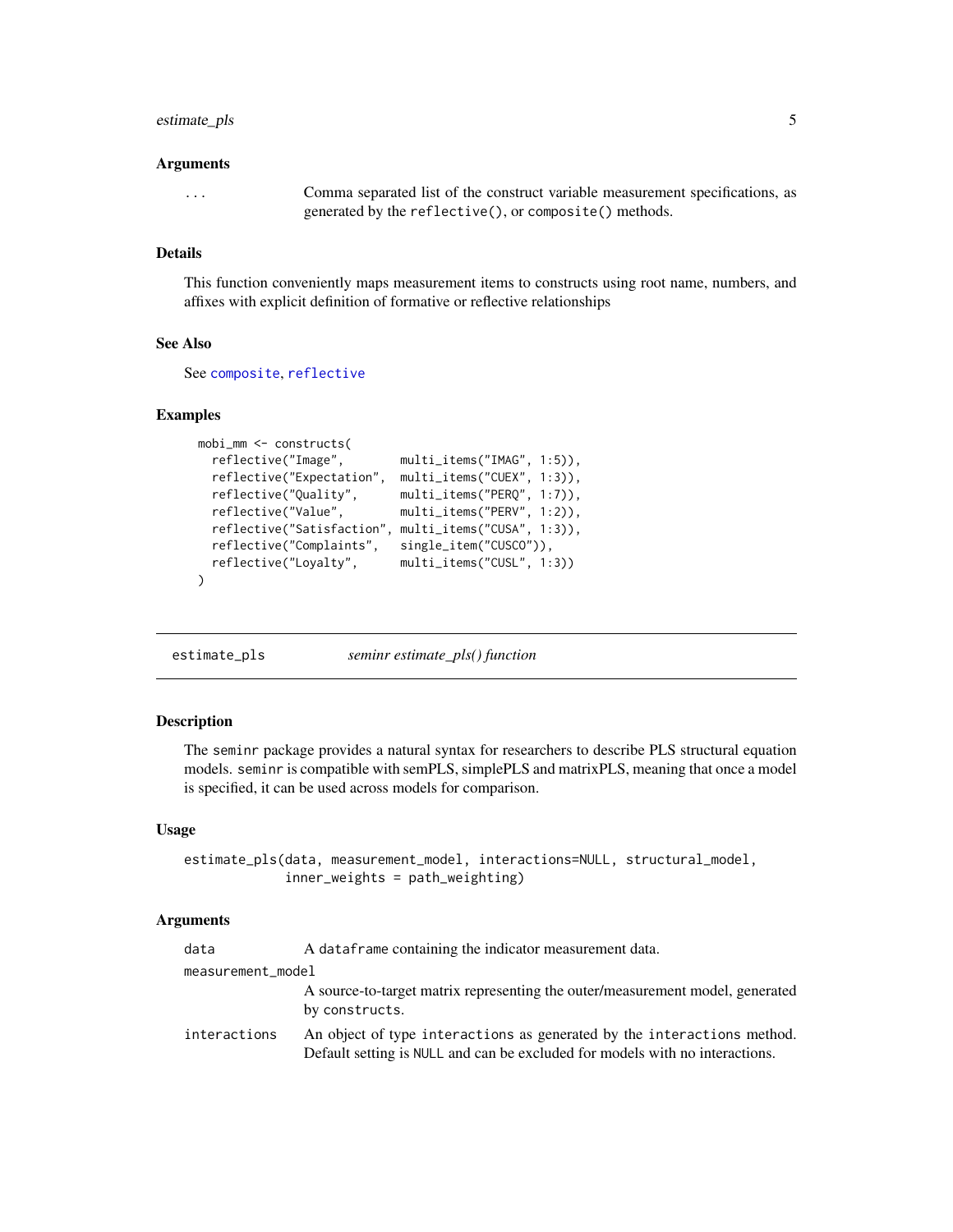#### <span id="page-4-0"></span>estimate\_pls 5

#### Arguments

... Comma separated list of the construct variable measurement specifications, as generated by the reflective(), or composite() methods.

#### Details

This function conveniently maps measurement items to constructs using root name, numbers, and affixes with explicit definition of formative or reflective relationships

#### See Also

See [composite](#page-2-1), [reflective](#page-14-1)

#### Examples

```
mobi_mm <- constructs(
                           multi_items("IMAG", 1:5)),
 reflective("Expectation", multi_items("CUEX", 1:3)),
  reflective("Quality", multi_items("PERQ", 1:7)),
  reflective("Value", multi_items("PERV", 1:2)),
 reflective("Satisfaction", multi_items("CUSA", 1:3)),
 reflective("Complaints", single_item("CUSCO")),
 reflective("Loyalty", multi_items("CUSL", 1:3))
\lambda
```
<span id="page-4-1"></span>estimate\_pls *seminr estimate\_pls() function*

#### Description

The seminr package provides a natural syntax for researchers to describe PLS structural equation models. seminr is compatible with semPLS, simplePLS and matrixPLS, meaning that once a model is specified, it can be used across models for comparison.

#### Usage

```
estimate_pls(data, measurement_model, interactions=NULL, structural_model,
             inner_weights = path_weighting)
```
#### Arguments

| data              | A data frame containing the indicator measurement data.                                                                                                 |
|-------------------|---------------------------------------------------------------------------------------------------------------------------------------------------------|
| measurement_model |                                                                                                                                                         |
|                   | A source-to-target matrix representing the outer/measurement model, generated<br>by constructs.                                                         |
| interactions      | An object of type interactions as generated by the interactions method.<br>Default setting is NULL and can be excluded for models with no interactions. |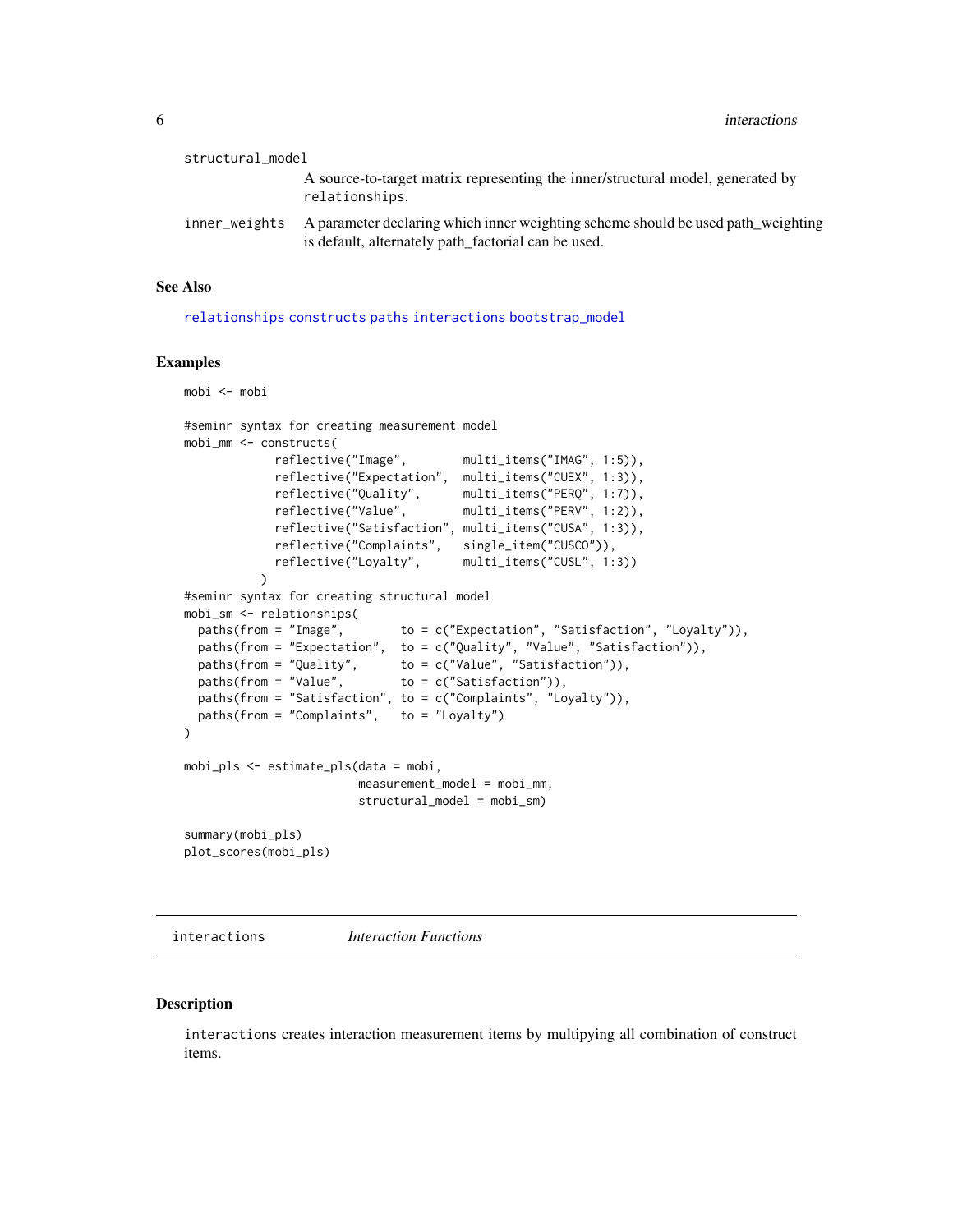<span id="page-5-0"></span>**6** interactions **implements implements implements implements implements implements implements implements implements implements implements implements implements implements implements implement** 

| structural_model |                                                                                                                                         |
|------------------|-----------------------------------------------------------------------------------------------------------------------------------------|
|                  | A source-to-target matrix representing the inner/structural model, generated by<br>relationships.                                       |
| inner_weights    | A parameter declaring which inner weighting scheme should be used path_weighting<br>is default, alternately path_factorial can be used. |

#### See Also

[relationships](#page-15-1) [constructs](#page-3-1) [paths](#page-15-2) [interactions](#page-5-1) [bootstrap\\_model](#page-1-1)

#### Examples

```
mobi <- mobi
#seminr syntax for creating measurement model
mobi_mm <- constructs(
            reflective("Image", multi_items("IMAG", 1:5)),
            reflective("Expectation", multi_items("CUEX", 1:3)),
            reflective("Quality", multi_items("PERQ", 1:7)),
            reflective("Value", multi_items("PERV", 1:2)),
            reflective("Satisfaction", multi_items("CUSA", 1:3)),
            reflective("Complaints", single_item("CUSCO")),
            reflective("Loyalty", multi_items("CUSL", 1:3))
          \lambda#seminr syntax for creating structural model
mobi_sm <- relationships(
 paths(from = "Image", to = c("Expectation", "Satisfaction", "Loyalty")),
  paths(from = "Expectation", to = c("Quality", "Value", "Satisfaction")),
  paths(from = "Quality", to = c("Value", "Satisfaction")),
  paths(from = "Value", to = c("Satisfaction")),
 paths(from = "Satisfaction", to = c("Complaints", "Loyalty")),
 paths(from = "Complaints", to = "Loyalty")
)
mobi_pls <- estimate_pls(data = mobi,
                        measurement_model = mobi_m,structural_model = mobi_sm)
summary(mobi_pls)
plot_scores(mobi_pls)
```
<span id="page-5-1"></span>interactions *Interaction Functions*

#### Description

interactions creates interaction measurement items by multipying all combination of construct items.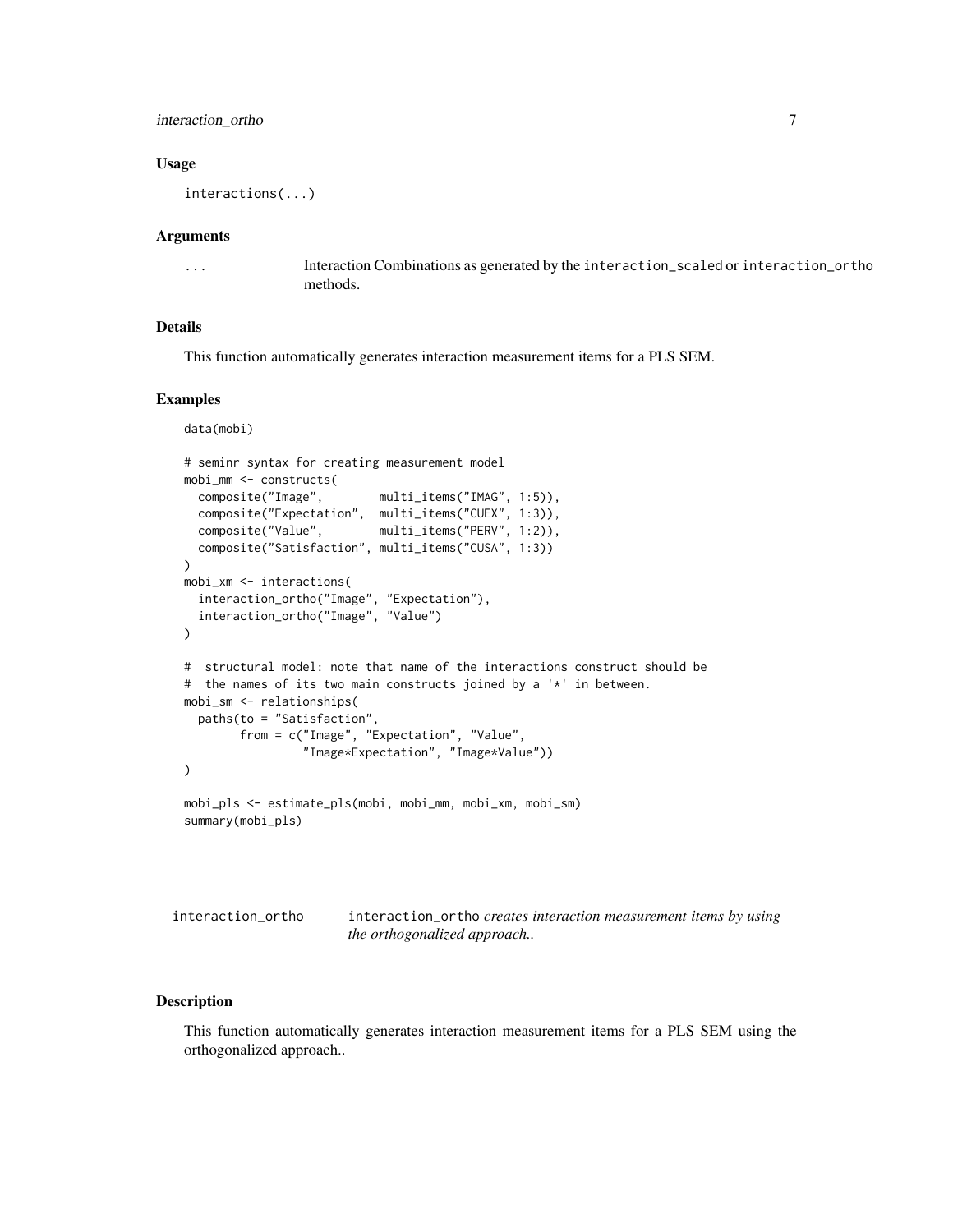#### <span id="page-6-0"></span>interaction\_ortho 7

#### Usage

interactions(...)

#### Arguments

... Interaction Combinations as generated by the interaction\_scaled or interaction\_ortho methods.

#### Details

This function automatically generates interaction measurement items for a PLS SEM.

#### Examples

```
data(mobi)
# seminr syntax for creating measurement model
mobi_mm <- constructs(
  composite("Image", multi_items("IMAG", 1:5)),
  composite("Expectation", multi_items("CUEX", 1:3)),
  composite("Value", multi_items("PERV", 1:2)),
  composite("Satisfaction", multi_items("CUSA", 1:3))
\mathcal{L}mobi_xm <- interactions(
  interaction_ortho("Image", "Expectation"),
  interaction_ortho("Image", "Value")
\lambda# structural model: note that name of the interactions construct should be
# the names of its two main constructs joined by a '*' in between.
mobi_sm <- relationships(
  paths(to = "Satisfaction",
        from = c("Image", "Expectation", "Value",
                 "Image*Expectation", "Image*Value"))
\mathcal{L}mobi_pls <- estimate_pls(mobi, mobi_mm, mobi_xm, mobi_sm)
summary(mobi_pls)
```
interaction\_ortho interaction\_ortho *creates interaction measurement items by using the orthogonalized approach..*

#### Description

This function automatically generates interaction measurement items for a PLS SEM using the orthogonalized approach..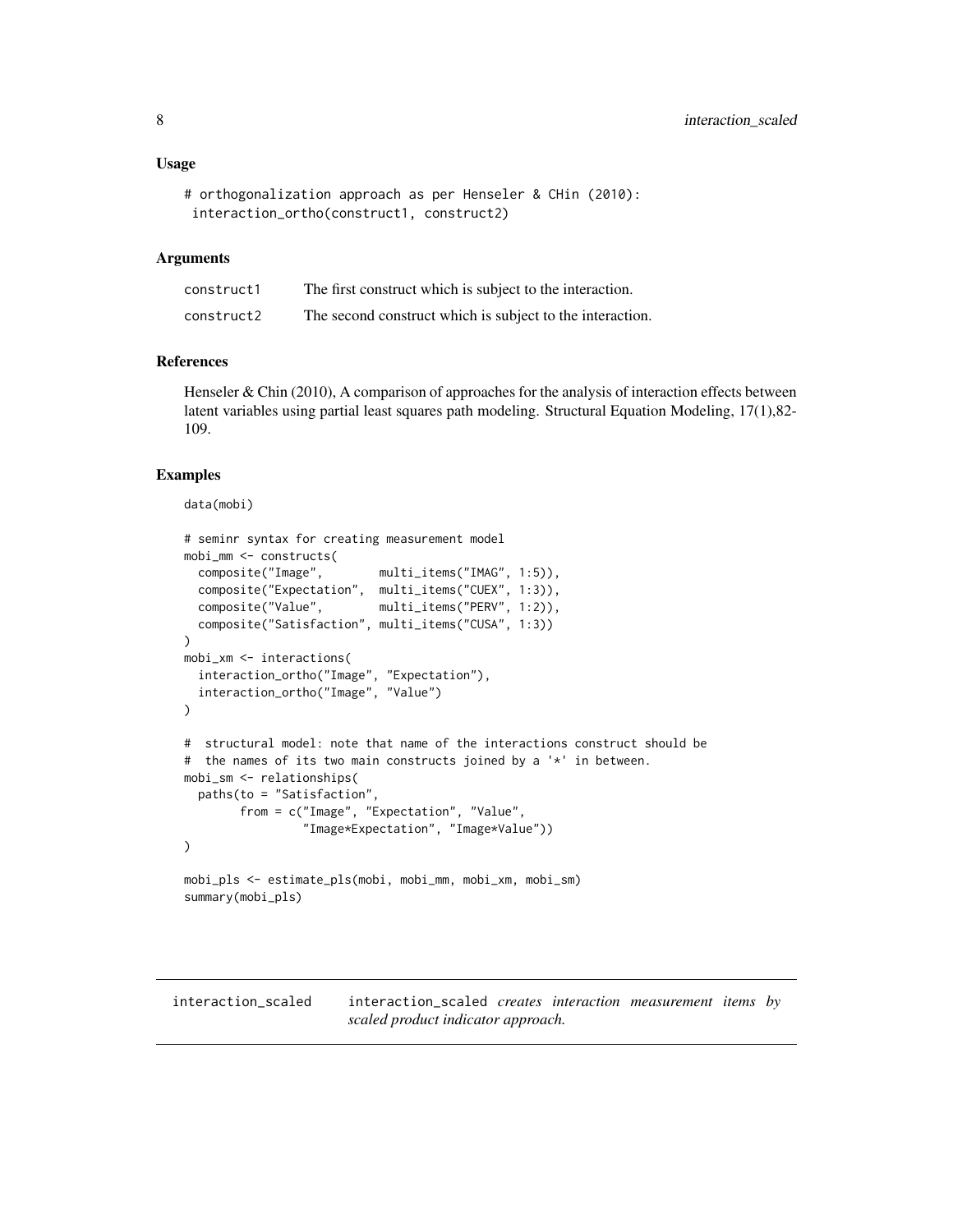```
# orthogonalization approach as per Henseler & CHin (2010):
interaction_ortho(construct1, construct2)
```
#### Arguments

| construct1 | The first construct which is subject to the interaction.  |
|------------|-----------------------------------------------------------|
| construct2 | The second construct which is subject to the interaction. |

#### References

Henseler  $& Chin$  (2010), A comparison of approaches for the analysis of interaction effects between latent variables using partial least squares path modeling. Structural Equation Modeling, 17(1),82- 109.

```
data(mobi)
```

```
# seminr syntax for creating measurement model
mobi_mm <- constructs(
  composite("Image", multi_items("IMAG", 1:5)),
  composite("Expectation", multi_items("CUEX", 1:3)),
  composite("Value", multi_items("PERV", 1:2)),
  composite("Satisfaction", multi_items("CUSA", 1:3))
\lambdamobi_xm <- interactions(
  interaction_ortho("Image", "Expectation"),
  interaction_ortho("Image", "Value")
\lambda# structural model: note that name of the interactions construct should be
# the names of its two main constructs joined by a '*' in between.
mobi_sm <- relationships(
  paths(to = "Satisfaction",
        from = c("Image", "Expectation", "Value",
                 "Image*Expectation", "Image*Value"))
)
mobi_pls <- estimate_pls(mobi, mobi_mm, mobi_xm, mobi_sm)
summary(mobi_pls)
```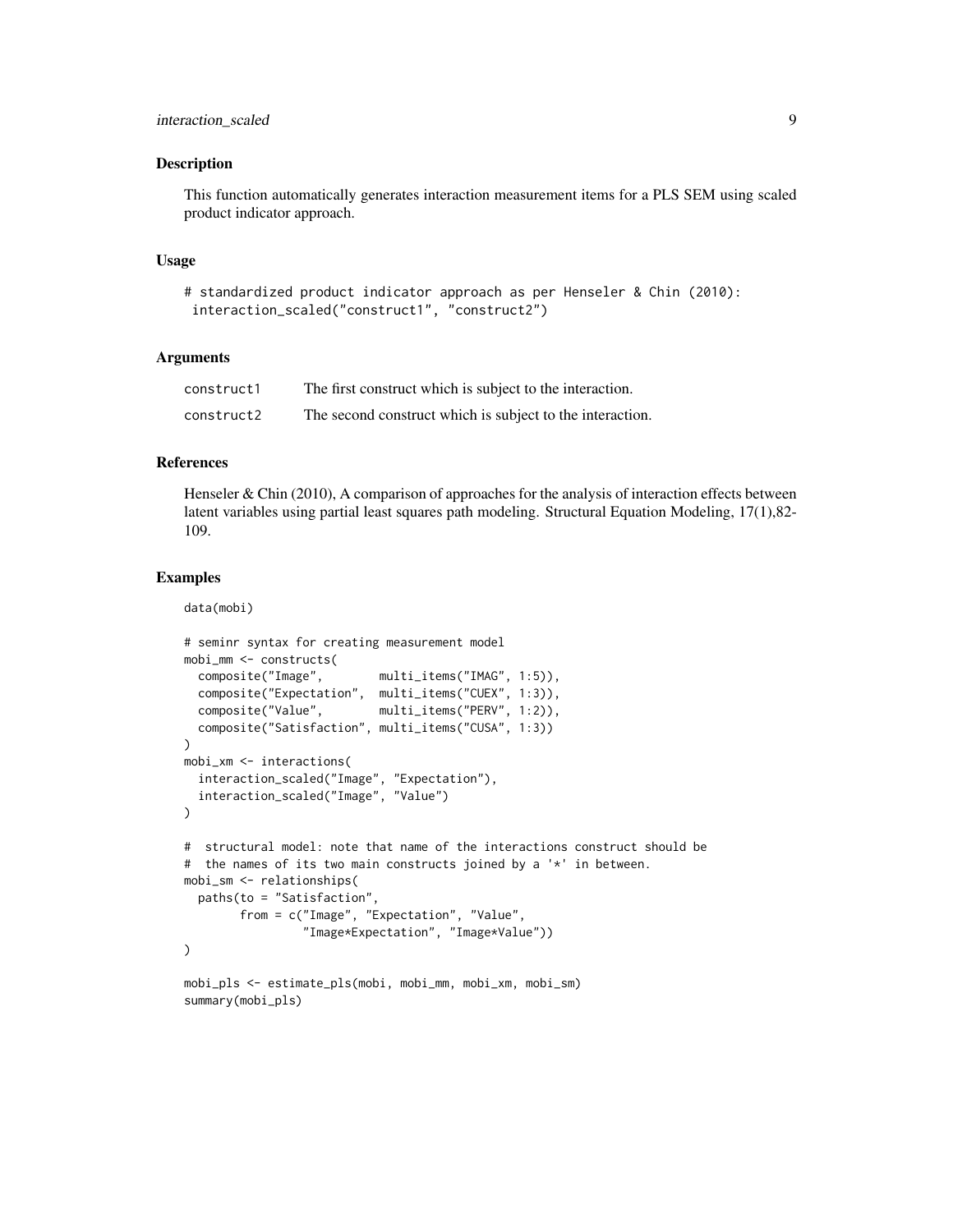This function automatically generates interaction measurement items for a PLS SEM using scaled product indicator approach.

#### Usage

```
# standardized product indicator approach as per Henseler & Chin (2010):
interaction_scaled("construct1", "construct2")
```
#### Arguments

| construct1 | The first construct which is subject to the interaction.  |
|------------|-----------------------------------------------------------|
| construct2 | The second construct which is subject to the interaction. |

#### References

Henseler  $& Chin$  (2010), A comparison of approaches for the analysis of interaction effects between latent variables using partial least squares path modeling. Structural Equation Modeling, 17(1),82- 109.

#### Examples

data(mobi)

```
# seminr syntax for creating measurement model
mobi_mm <- constructs(
  composite("Image", multi_items("IMAG", 1:5)),
  composite("Expectation", multi_items("CUEX", 1:3)),
  composite("Value", multi_items("PERV", 1:2)),
  composite("Satisfaction", multi_items("CUSA", 1:3))
\lambdamobi_xm <- interactions(
  interaction_scaled("Image", "Expectation"),
  interaction_scaled("Image", "Value")
)
# structural model: note that name of the interactions construct should be
# the names of its two main constructs joined by a '*' in between.
mobi_sm <- relationships(
  paths(to = "Satisfaction",
        from = c("Image", "Expectation", "Value",
                 "Image*Expectation", "Image*Value"))
\mathcal{L}mobi_pls <- estimate_pls(mobi, mobi_mm, mobi_xm, mobi_sm)
```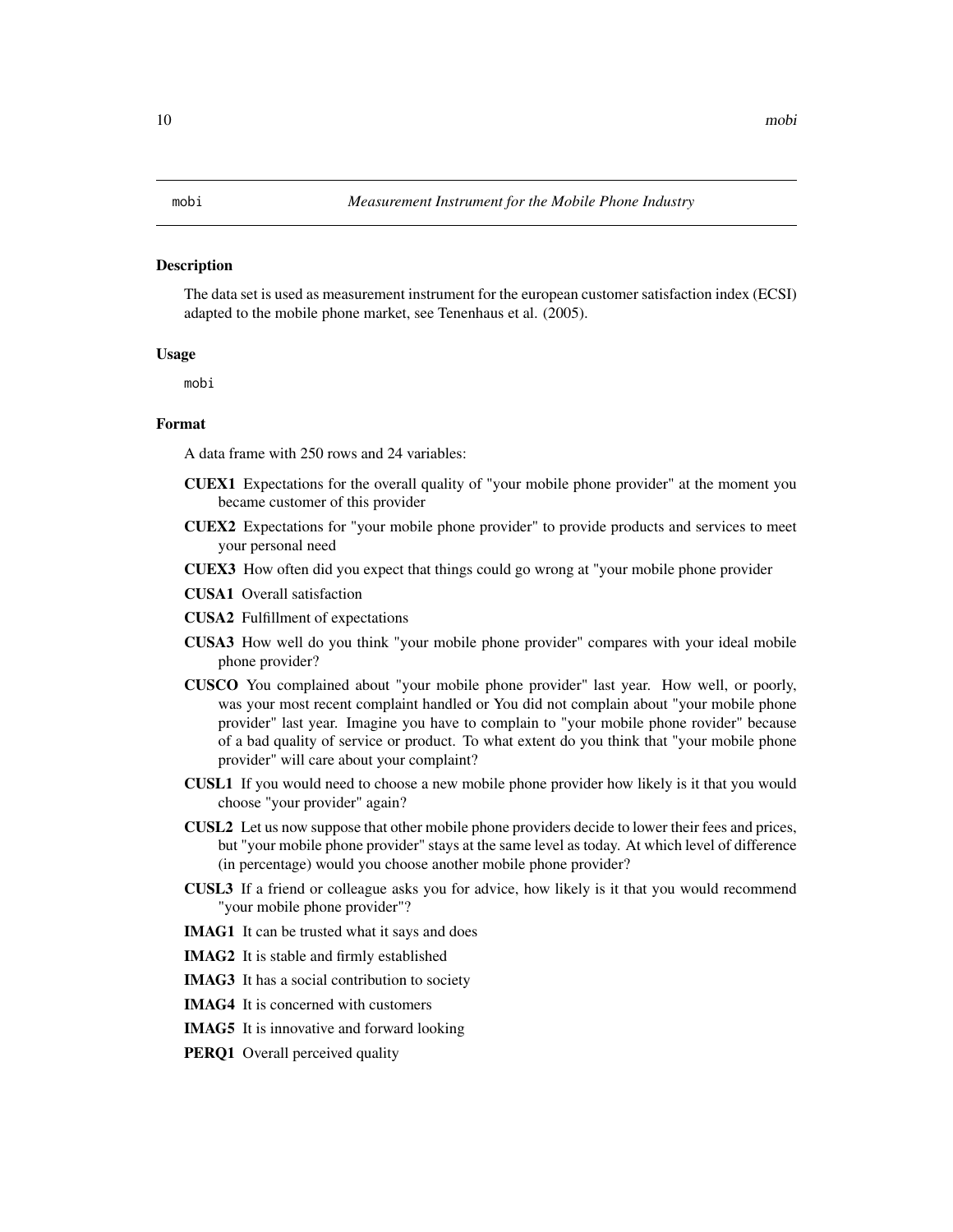<span id="page-9-0"></span>The data set is used as measurement instrument for the european customer satisfaction index (ECSI) adapted to the mobile phone market, see Tenenhaus et al. (2005).

#### Usage

mobi

#### Format

A data frame with 250 rows and 24 variables:

- CUEX1 Expectations for the overall quality of "your mobile phone provider" at the moment you became customer of this provider
- CUEX2 Expectations for "your mobile phone provider" to provide products and services to meet your personal need
- CUEX3 How often did you expect that things could go wrong at "your mobile phone provider
- CUSA1 Overall satisfaction
- CUSA2 Fulfillment of expectations
- CUSA3 How well do you think "your mobile phone provider" compares with your ideal mobile phone provider?
- CUSCO You complained about "your mobile phone provider" last year. How well, or poorly, was your most recent complaint handled or You did not complain about "your mobile phone provider" last year. Imagine you have to complain to "your mobile phone rovider" because of a bad quality of service or product. To what extent do you think that "your mobile phone provider" will care about your complaint?
- CUSL1 If you would need to choose a new mobile phone provider how likely is it that you would choose "your provider" again?
- CUSL2 Let us now suppose that other mobile phone providers decide to lower their fees and prices, but "your mobile phone provider" stays at the same level as today. At which level of difference (in percentage) would you choose another mobile phone provider?
- CUSL3 If a friend or colleague asks you for advice, how likely is it that you would recommend "your mobile phone provider"?
- IMAG1 It can be trusted what it says and does
- IMAG2 It is stable and firmly established
- IMAG3 It has a social contribution to society
- IMAG4 It is concerned with customers
- IMAG5 It is innovative and forward looking
- PERQ1 Overall perceived quality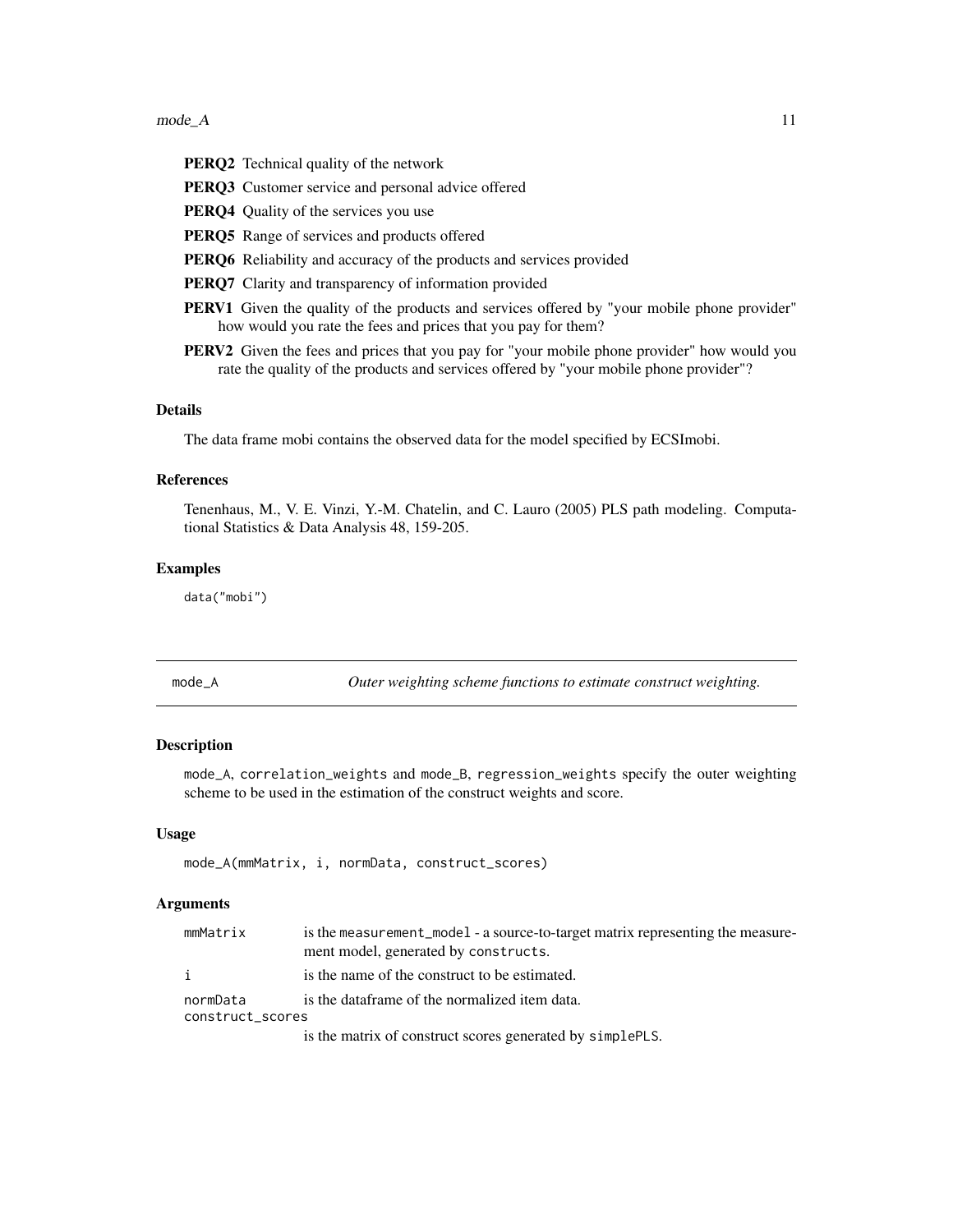#### <span id="page-10-0"></span> $\Box$  11 mode\_A  $\Box$

PERQ2 Technical quality of the network PERQ3 Customer service and personal advice offered PERQ4 Quality of the services you use PERQ5 Range of services and products offered PERQ6 Reliability and accuracy of the products and services provided PERQ7 Clarity and transparency of information provided **PERV1** Given the quality of the products and services offered by "your mobile phone provider" how would you rate the fees and prices that you pay for them?

PERV2 Given the fees and prices that you pay for "your mobile phone provider" how would you rate the quality of the products and services offered by "your mobile phone provider"?

#### Details

The data frame mobi contains the observed data for the model specified by ECSImobi.

#### References

Tenenhaus, M., V. E. Vinzi, Y.-M. Chatelin, and C. Lauro (2005) PLS path modeling. Computational Statistics & Data Analysis 48, 159-205.

#### Examples

data("mobi")

mode\_A *Outer weighting scheme functions to estimate construct weighting.*

#### **Description**

mode\_A, correlation\_weights and mode\_B, regression\_weights specify the outer weighting scheme to be used in the estimation of the construct weights and score.

#### Usage

```
mode_A(mmMatrix, i, normData, construct_scores)
```
#### Arguments

| mmMatrix                     | is the measurement_model - a source-to-target matrix representing the measure-<br>ment model, generated by constructs. |
|------------------------------|------------------------------------------------------------------------------------------------------------------------|
| i                            | is the name of the construct to be estimated.                                                                          |
| normData<br>construct_scores | is the dataframe of the normalized item data.                                                                          |
|                              | is the matrix of construct scores generated by simplePLS.                                                              |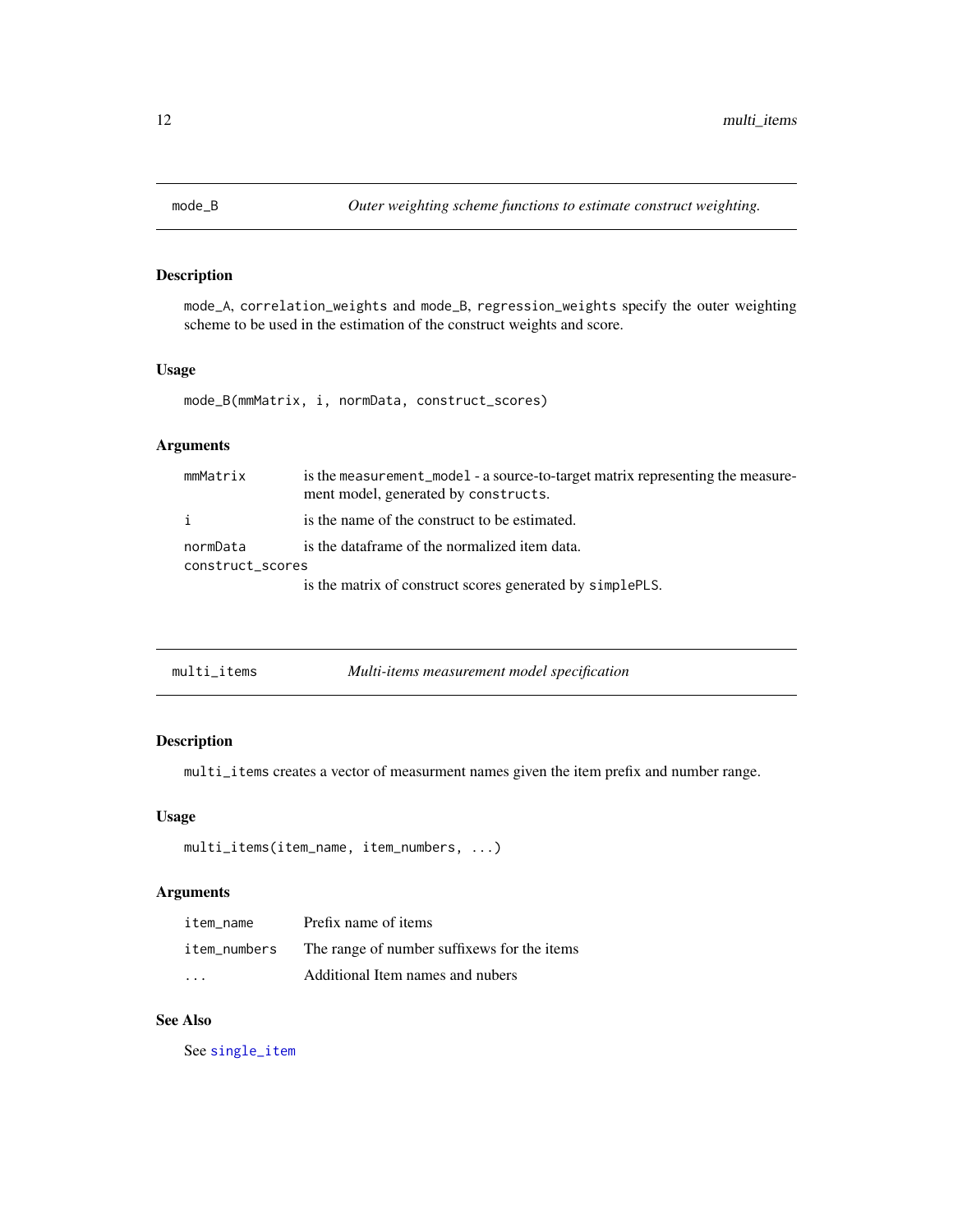<span id="page-11-0"></span>

mode\_A, correlation\_weights and mode\_B, regression\_weights specify the outer weighting scheme to be used in the estimation of the construct weights and score.

#### Usage

mode\_B(mmMatrix, i, normData, construct\_scores)

### Arguments

| mmMatrix                     | is the measurement_model - a source-to-target matrix representing the measure-<br>ment model, generated by constructs. |
|------------------------------|------------------------------------------------------------------------------------------------------------------------|
| i.                           | is the name of the construct to be estimated.                                                                          |
| normData<br>construct_scores | is the dataframe of the normalized item data.                                                                          |
|                              | is the matrix of construct scores generated by simplePLS.                                                              |

<span id="page-11-1"></span>

| multi_items | Multi-items measurement model specification |  |
|-------------|---------------------------------------------|--|
|-------------|---------------------------------------------|--|

#### Description

multi\_items creates a vector of measurment names given the item prefix and number range.

#### Usage

```
multi_items(item_name, item_numbers, ...)
```
#### Arguments

| item name    | Prefix name of items                        |
|--------------|---------------------------------------------|
| item numbers | The range of number suffixews for the items |
| $\cdots$     | Additional Item names and nubers            |

### See Also

See [single\\_item](#page-19-1)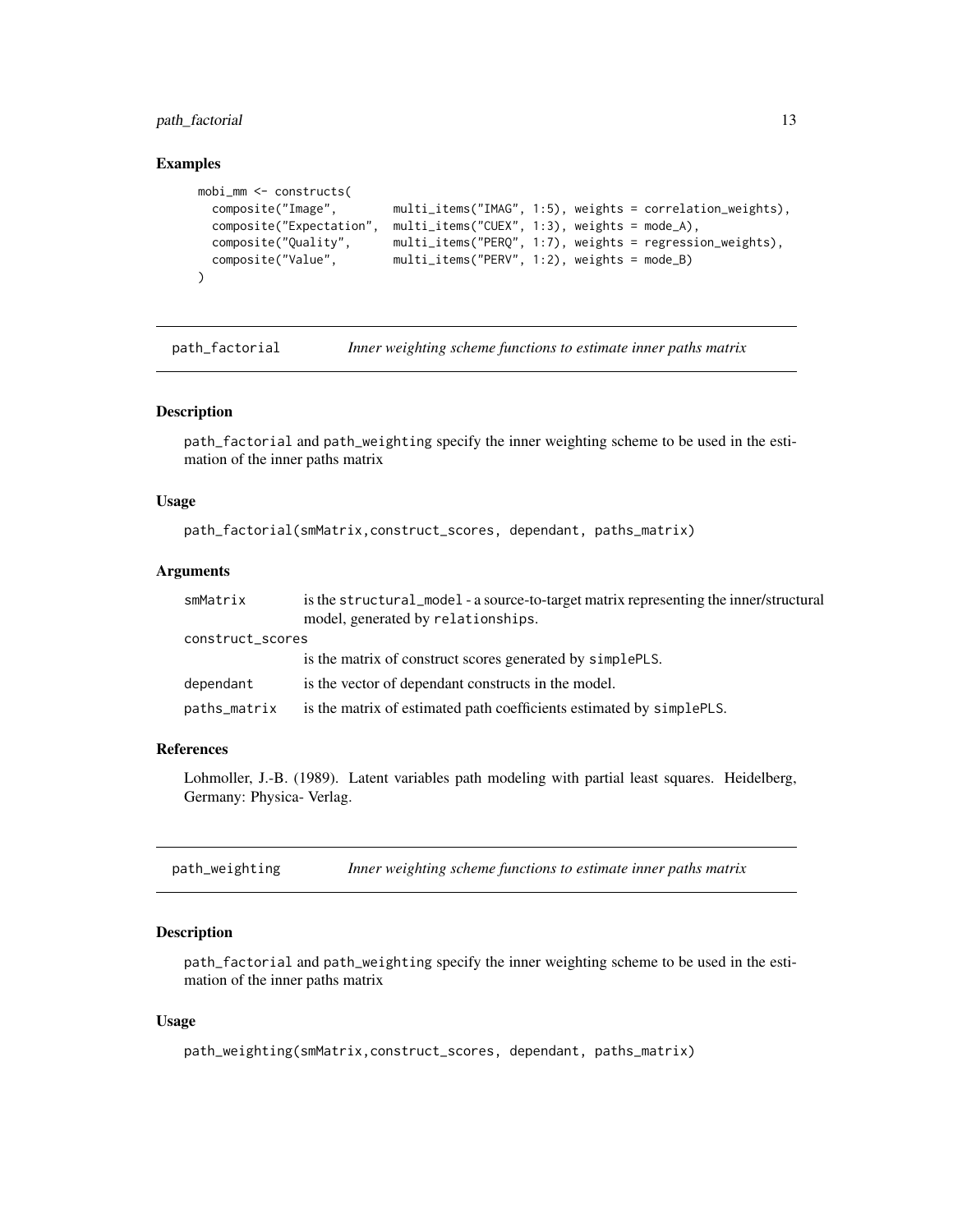<span id="page-12-0"></span>path\_factorial 13

#### Examples

```
mobi_mm <- constructs(
 composite("Image", multi_items("IMAG", 1:5), weights = correlation_weights),
 composite("Expectation", multi_items("CUEX", 1:3), weights = mode_A),
 composite("Quality", multi_items("PERQ", 1:7), weights = regression_weights),
 composite("Value", multi_items("PERV", 1:2), weights = mode_B)
\lambda
```
path\_factorial *Inner weighting scheme functions to estimate inner paths matrix*

#### Description

path\_factorial and path\_weighting specify the inner weighting scheme to be used in the estimation of the inner paths matrix

#### Usage

```
path_factorial(smMatrix,construct_scores, dependant, paths_matrix)
```
#### Arguments

| smMatrix         | is the structural_model - a source-to-target matrix representing the inner/structural<br>model, generated by relationships. |
|------------------|-----------------------------------------------------------------------------------------------------------------------------|
| construct_scores |                                                                                                                             |
|                  | is the matrix of construct scores generated by simplePLS.                                                                   |
| dependant        | is the vector of dependant constructs in the model.                                                                         |
| paths_matrix     | is the matrix of estimated path coefficients estimated by simplePLS.                                                        |

#### References

Lohmoller, J.-B. (1989). Latent variables path modeling with partial least squares. Heidelberg, Germany: Physica- Verlag.

path\_weighting *Inner weighting scheme functions to estimate inner paths matrix*

#### Description

path\_factorial and path\_weighting specify the inner weighting scheme to be used in the estimation of the inner paths matrix

#### Usage

```
path_weighting(smMatrix,construct_scores, dependant, paths_matrix)
```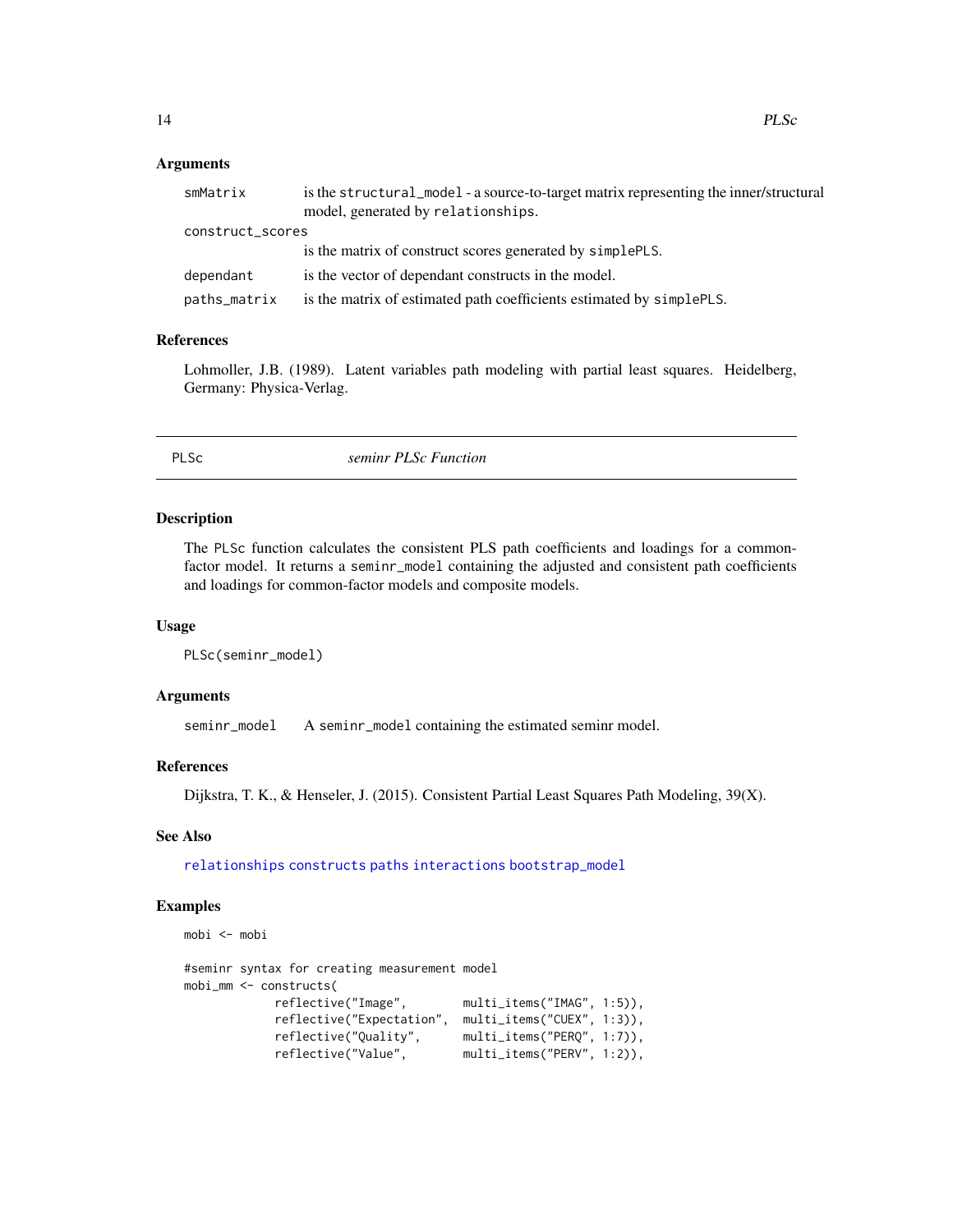#### <span id="page-13-0"></span>Arguments

| smMatrix         | is the structural_model - a source-to-target matrix representing the inner/structural<br>model, generated by relationships. |  |
|------------------|-----------------------------------------------------------------------------------------------------------------------------|--|
| construct_scores |                                                                                                                             |  |
|                  | is the matrix of construct scores generated by simplePLS.                                                                   |  |
| dependant        | is the vector of dependant constructs in the model.                                                                         |  |
| paths_matrix     | is the matrix of estimated path coefficients estimated by simplePLS.                                                        |  |
|                  |                                                                                                                             |  |

#### References

Lohmoller, J.B. (1989). Latent variables path modeling with partial least squares. Heidelberg, Germany: Physica-Verlag.

PLSc *seminr PLSc Function*

#### Description

The PLSc function calculates the consistent PLS path coefficients and loadings for a commonfactor model. It returns a seminr\_model containing the adjusted and consistent path coefficients and loadings for common-factor models and composite models.

#### Usage

```
PLSc(seminr_model)
```
#### Arguments

seminr\_model A seminr\_model containing the estimated seminr model.

#### References

Dijkstra, T. K., & Henseler, J. (2015). Consistent Partial Least Squares Path Modeling, 39(X).

#### See Also

[relationships](#page-15-1) [constructs](#page-3-1) [paths](#page-15-2) [interactions](#page-5-1) [bootstrap\\_model](#page-1-1)

```
mobi <- mobi
```

```
#seminr syntax for creating measurement model
mobi_mm <- constructs(
                                    multi_items("IMAG", 1:5)),
           reflective("Expectation", multi_items("CUEX", 1:3)),
            reflective("Quality", multi_items("PERQ", 1:7)),
            reflective("Value", multi_items("PERV", 1:2)),
```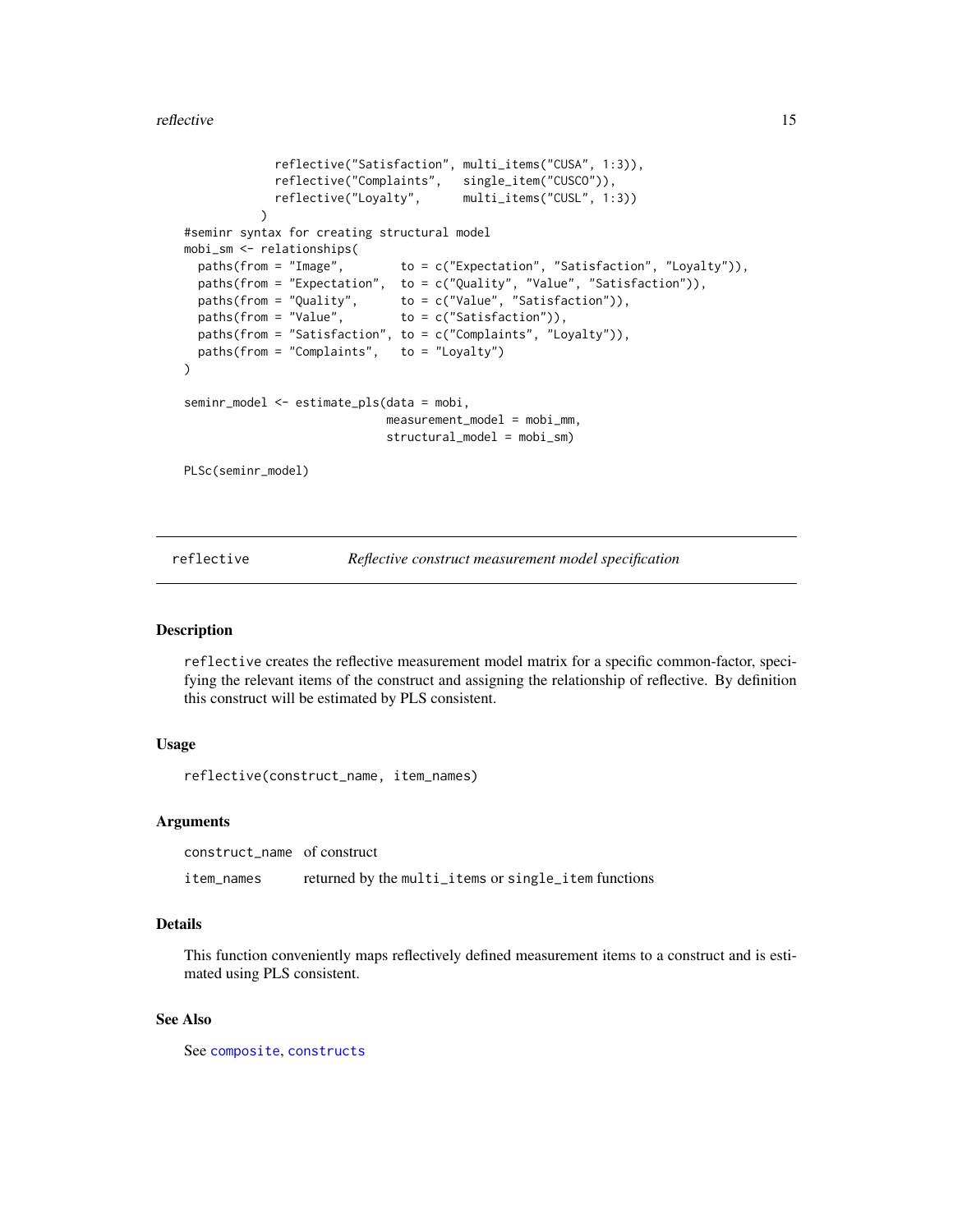<span id="page-14-0"></span>reflective the state of the state of the state of the state of the state of the state of the state of the state of the state of the state of the state of the state of the state of the state of the state of the state of the

```
reflective("Satisfaction", multi_items("CUSA", 1:3)),
            reflective("Complaints", single_item("CUSCO")),
            reflective("Loyalty", multi_items("CUSL", 1:3))
          \lambda#seminr syntax for creating structural model
mobi_sm <- relationships(
 paths(from = "Image", to = c("Expectation", "Satisfaction", "Loyalty")),
 paths(from = "Expectation", to = c("Quality", "Value", "Satisfaction")),
  paths(from = "Quality", to = c("Value", "Satisfaction")),
  paths(from = "Value", \tto = c("Satisfaction")),
 paths(from = "Satisfaction", to = c("Complaints", "Loyalty")),
 paths(from = "Complaints", to = "Loyalty")
)
seminr_model <- estimate_pls(data = mobi,
                            measurement_model = mobi_mm,
                            structural_model = mobi_sm)
PLSc(seminr_model)
```
<span id="page-14-1"></span>reflective *Reflective construct measurement model specification*

#### **Description**

reflective creates the reflective measurement model matrix for a specific common-factor, specifying the relevant items of the construct and assigning the relationship of reflective. By definition this construct will be estimated by PLS consistent.

#### Usage

reflective(construct\_name, item\_names)

#### Arguments

construct\_name of construct item\_names returned by the multi\_items or single\_item functions

#### Details

This function conveniently maps reflectively defined measurement items to a construct and is estimated using PLS consistent.

#### See Also

See [composite](#page-2-1), [constructs](#page-3-1)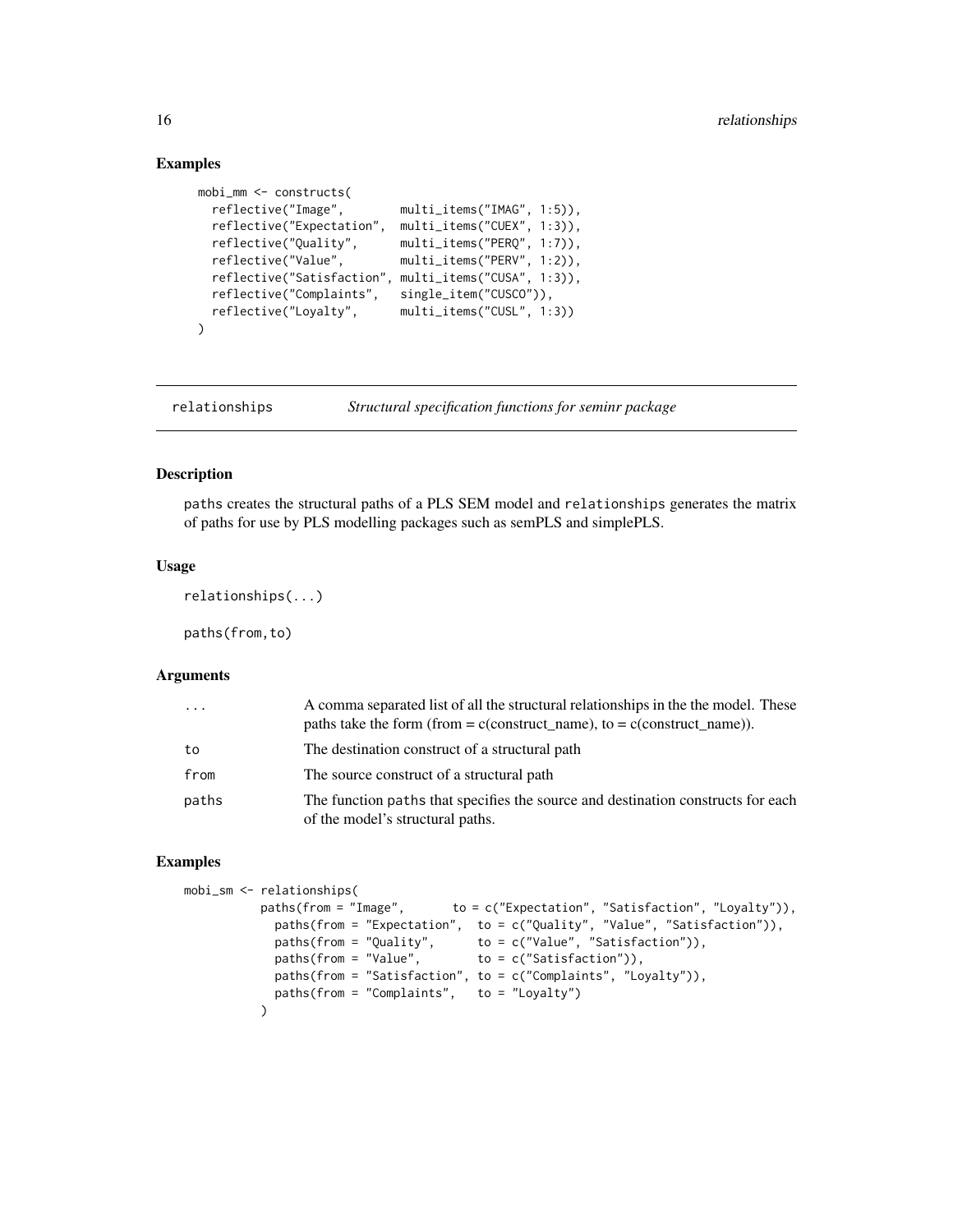#### Examples

```
mobi_mm <- constructs(
 reflective("Image", multi_items("IMAG", 1:5)),
 reflective("Expectation", multi_items("CUEX", 1:3)),
 reflective("Quality", multi_items("PERQ", 1:7)),
 reflective("Value", multi_items("PERV", 1:2)),
 reflective("Satisfaction", multi_items("CUSA", 1:3)),
  reflective("Complaints", single_item("CUSCO")),
  reflective("Loyalty", multi_items("CUSL", 1:3))
)
```
<span id="page-15-1"></span>relationships *Structural specification functions for seminr package*

#### <span id="page-15-2"></span>Description

paths creates the structural paths of a PLS SEM model and relationships generates the matrix of paths for use by PLS modelling packages such as semPLS and simplePLS.

#### Usage

relationships(...)

paths(from,to)

#### Arguments

| $\ddots$ | A comma separated list of all the structural relationships in the the model. These<br>paths take the form (from $= c$ construct_name), to $= c$ (construct_name)). |
|----------|--------------------------------------------------------------------------------------------------------------------------------------------------------------------|
| to       | The destination construct of a structural path                                                                                                                     |
| from     | The source construct of a structural path                                                                                                                          |
| paths    | The function paths that specifies the source and destination constructs for each<br>of the model's structural paths.                                               |

```
mobi_sm <- relationships(
          paths(from = "Image", to = c("Expectation", "Satisfaction", "Loyalty")),
            paths(from = "Expectation", to = c("Quality", "Value", "Satisfaction")),
            paths(from = "Quality", to = c("Value", "Satisfaction")),
            paths(from = "Value", to = c("Satisfaction")),
            paths(from = "Satisfaction", to = c("Complaints", "Loyalty")),
            paths(from = "Complaints", to = "Loyalty")
          )
```
<span id="page-15-0"></span>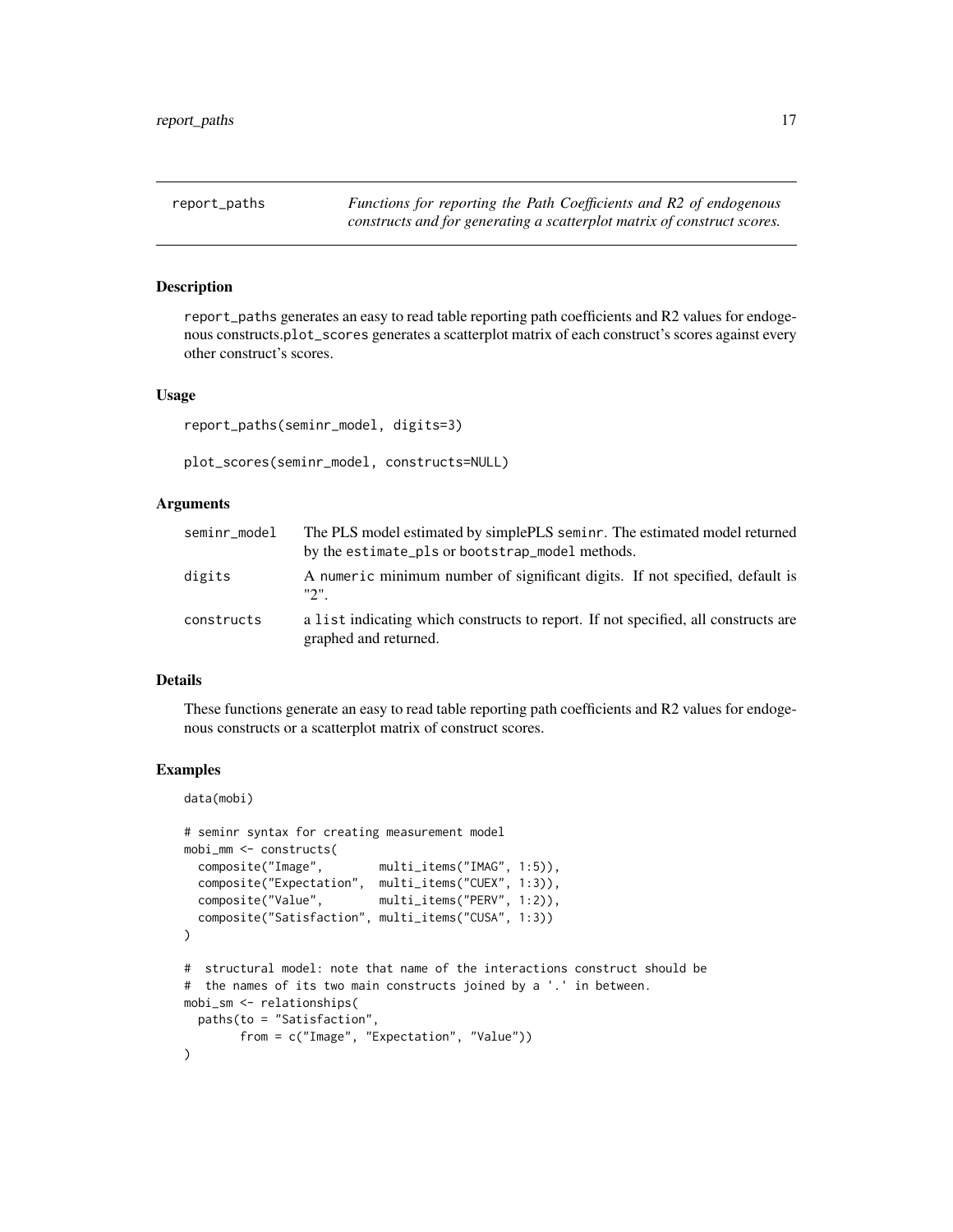<span id="page-16-0"></span>

report\_paths generates an easy to read table reporting path coefficients and R2 values for endogenous constructs.plot\_scores generates a scatterplot matrix of each construct's scores against every other construct's scores.

#### Usage

```
report_paths(seminr_model, digits=3)
```
plot\_scores(seminr\_model, constructs=NULL)

#### Arguments

| seminr_model | The PLS model estimated by simplePLS seminr. The estimated model returned<br>by the estimate_pls or bootstrap_model methods. |
|--------------|------------------------------------------------------------------------------------------------------------------------------|
| digits       | A numeric minimum number of significant digits. If not specified, default is<br>"2".                                         |
| constructs   | a list indicating which constructs to report. If not specified, all constructs are<br>graphed and returned.                  |

#### Details

These functions generate an easy to read table reporting path coefficients and R2 values for endogenous constructs or a scatterplot matrix of construct scores.

```
data(mobi)
```

```
# seminr syntax for creating measurement model
mobi_mm <- constructs(
 composite("Image", multi_items("IMAG", 1:5)),
 composite("Expectation", multi_items("CUEX", 1:3)),
 composite("Value", multi_items("PERV", 1:2)),
 composite("Satisfaction", multi_items("CUSA", 1:3))
)
# structural model: note that name of the interactions construct should be
# the names of its two main constructs joined by a '.' in between.
mobi_sm <- relationships(
 paths(to = "Satisfaction",
       from = c("Image", "Expectation", "Value"))
)
```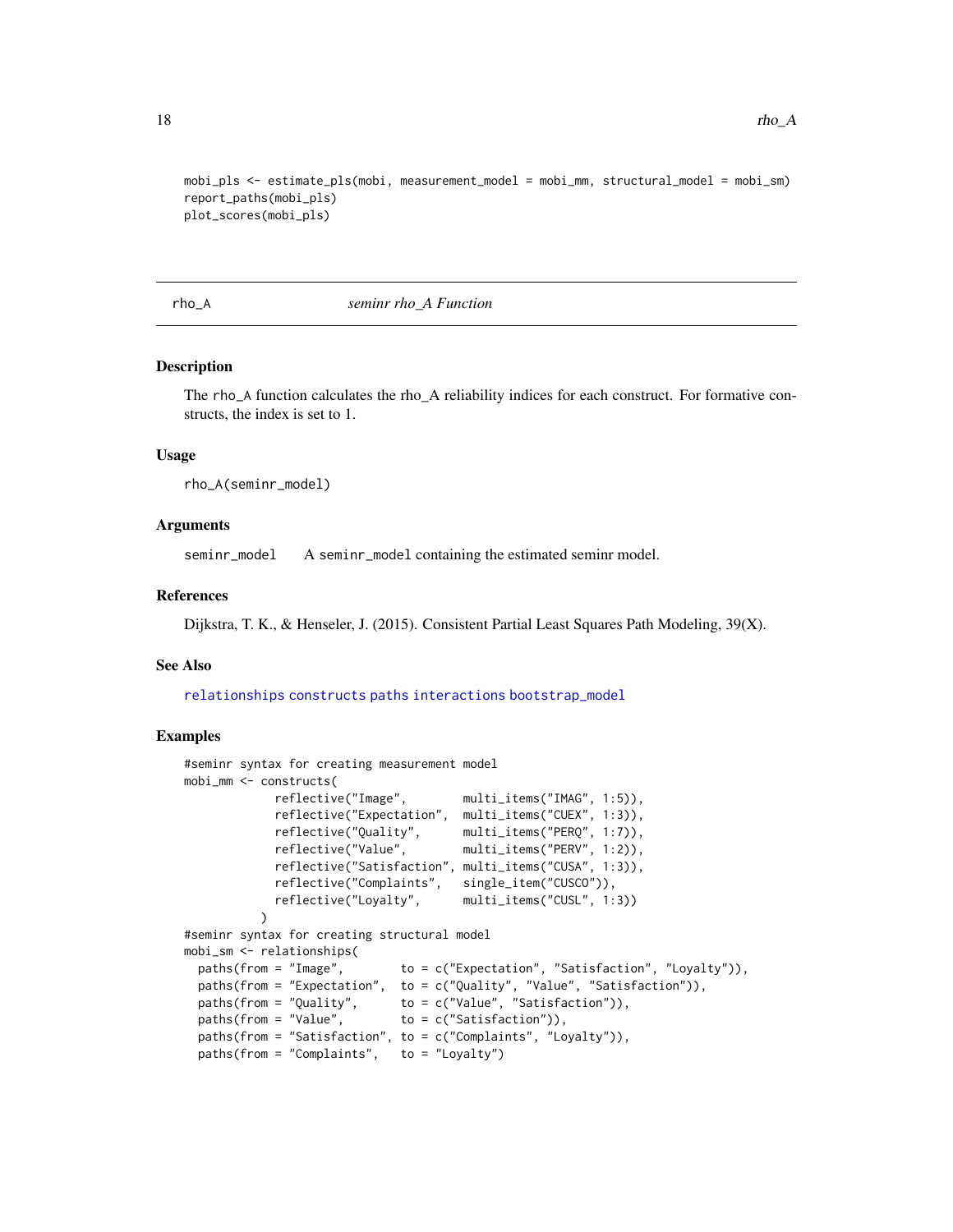```
mobi_pls <- estimate_pls(mobi, measurement_model = mobi_mm, structural_model = mobi_sm)
report_paths(mobi_pls)
plot_scores(mobi_pls)
```
rho\_A *seminr rho\_A Function*

#### Description

The rho\_A function calculates the rho\_A reliability indices for each construct. For formative constructs, the index is set to 1.

#### Usage

rho\_A(seminr\_model)

#### Arguments

seminr\_model A seminr\_model containing the estimated seminr model.

#### References

Dijkstra, T. K., & Henseler, J. (2015). Consistent Partial Least Squares Path Modeling, 39(X).

#### See Also

[relationships](#page-15-1) [constructs](#page-3-1) [paths](#page-15-2) [interactions](#page-5-1) [bootstrap\\_model](#page-1-1)

```
#seminr syntax for creating measurement model
mobi_mm <- constructs(
             reflective("Image", multi_items("IMAG", 1:5)),
             reflective("Expectation", multi_items("CUEX", 1:3)),
             reflective("Quality", multi_items("PERQ", 1:7)),
             reflective("Value", multi_items("PERV", 1:2)),
             reflective("Satisfaction", multi_items("CUSA", 1:3)),
             reflective("Complaints", single_item("CUSCO")),
             reflective("Loyalty", multi_items("CUSL", 1:3))
           \lambda#seminr syntax for creating structural model
mobi_sm <- relationships(
 paths(from = "Image", to = c("Expectation", "Satisfaction", "Loyalty")),
 paths(from = "Expectation", to = c("Quality", "Value", "Satisfaction")), paths(from = "Quality", to = c("Value", "Satisfaction")),
                               to = c("Value", "Satisfaction")),
 paths(from = "Value", \qquad \qquad \text{to = c("Satisfactor")),
 paths(from = "Satisfaction", to = c("Complaints", "Loyalty")),
 paths(from = "Complaints", to = "Loyalty")
```
<span id="page-17-0"></span>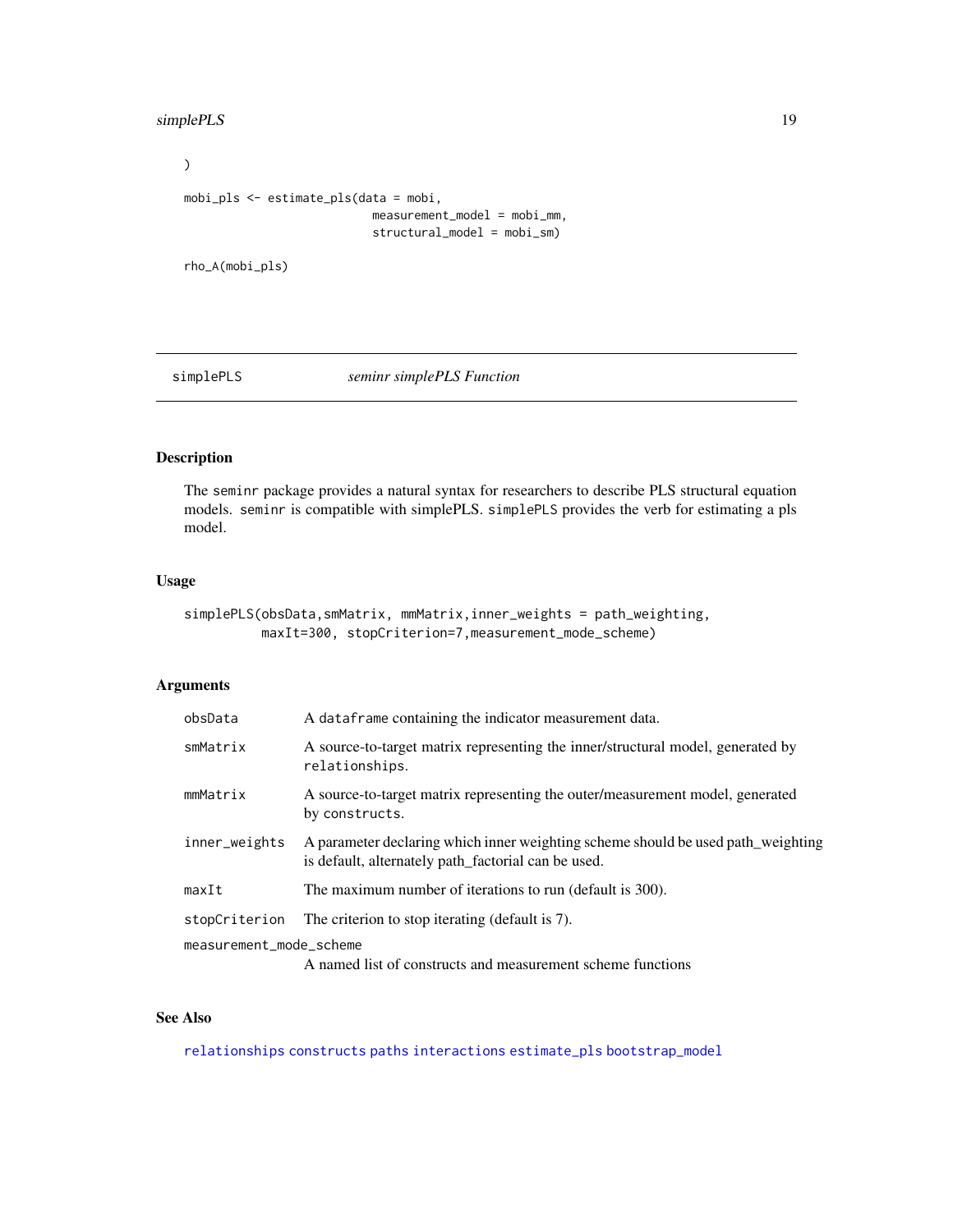#### <span id="page-18-0"></span>simplePLS 19

```
\overline{)}mobi_pls <- estimate_pls(data = mobi,
                              measurement_model = mobi_mm,
                              structural_model = mobi_sm)
```
rho\_A(mobi\_pls)

simplePLS *seminr simplePLS Function*

#### Description

The seminr package provides a natural syntax for researchers to describe PLS structural equation models. seminr is compatible with simplePLS. simplePLS provides the verb for estimating a pls model.

#### Usage

```
simplePLS(obsData,smMatrix, mmMatrix,inner_weights = path_weighting,
         maxIt=300, stopCriterion=7,measurement_mode_scheme)
```
#### Arguments

| obsData                                                                                | A data frame containing the indicator measurement data.                                                                                 |
|----------------------------------------------------------------------------------------|-----------------------------------------------------------------------------------------------------------------------------------------|
| smMatrix                                                                               | A source-to-target matrix representing the inner/structural model, generated by<br>relationships.                                       |
| mmMatrix                                                                               | A source-to-target matrix representing the outer/measurement model, generated<br>by constructs.                                         |
| inner_weights                                                                          | A parameter declaring which inner weighting scheme should be used path_weighting<br>is default, alternately path_factorial can be used. |
| maxIt                                                                                  | The maximum number of iterations to run (default is 300).                                                                               |
| stopCriterion                                                                          | The criterion to stop iterating (default is 7).                                                                                         |
| measurement_mode_scheme<br>A named list of constructs and measurement scheme functions |                                                                                                                                         |

#### See Also

[relationships](#page-15-1) [constructs](#page-3-1) [paths](#page-15-2) [interactions](#page-5-1) [estimate\\_pls](#page-4-1) [bootstrap\\_model](#page-1-1)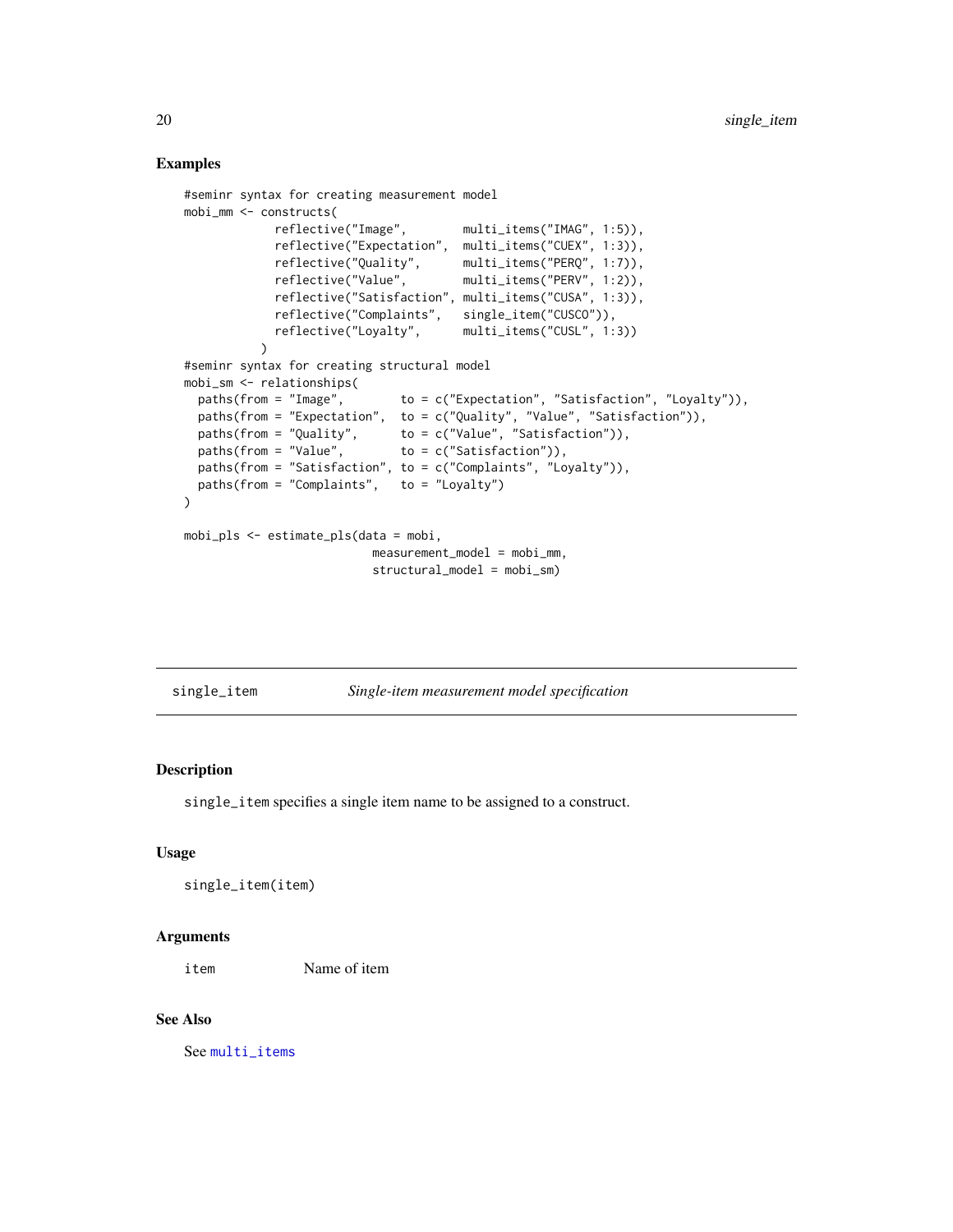#### Examples

```
#seminr syntax for creating measurement model
mobi_mm <- constructs(
            reflective("Image", multi_items("IMAG", 1:5)),
            reflective("Expectation", multi_items("CUEX", 1:3)),
            reflective("Quality", multi_items("PERQ", 1:7)),
            reflective("Value", multi_items("PERV", 1:2)),
            reflective("Satisfaction", multi_items("CUSA", 1:3)),
            reflective("Complaints", single_item("CUSCO")),
            reflective("Loyalty", multi_items("CUSL", 1:3))
          \lambda#seminr syntax for creating structural model
mobi_sm <- relationships(
 paths(from = "Image", to = c("Expectation", "Satisfaction", "Loyalty")),
 paths(from = "Expectation", to = c("Quality", "Value", "Satisfaction")),
  paths(from = "Quality", to = c("Value", "Satisfaction")),
  paths(from = "Value", to = c("Satisfaction")),
 paths(from = "Satisfaction", to = c("Complaints", "Loyalty")),
 paths(from = "Complaints", to = "Loyalty")
)
mobi_pls <- estimate_pls(data = mobi,
                         measurement_model = mobi_mm,
                          structural_model = mobi_sm)
```
<span id="page-19-1"></span>single\_item *Single-item measurement model specification*

#### Description

single\_item specifies a single item name to be assigned to a construct.

#### Usage

```
single_item(item)
```
#### Arguments

item Name of item

#### See Also

See [multi\\_items](#page-11-1)

<span id="page-19-0"></span>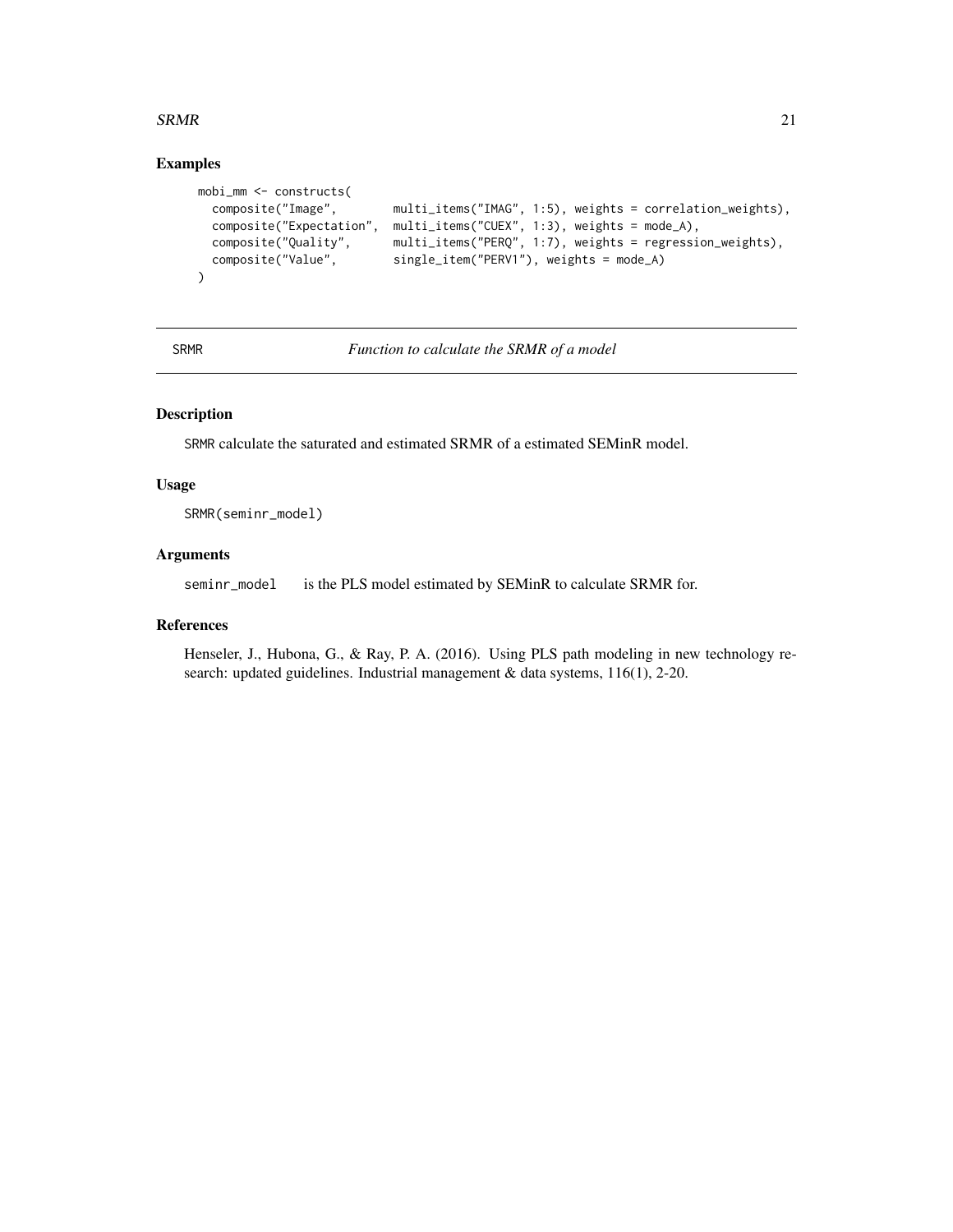#### <span id="page-20-0"></span> $SRMR$  21

#### Examples

```
mobi_mm <- constructs(
 composite("Image", multi_items("IMAG", 1:5), weights = correlation_weights),
 composite("Expectation", multi_items("CUEX", 1:3), weights = mode_A),
 composite("Quality", multi_items("PERQ", 1:7), weights = regression_weights),
 composite("Value", single_item("PERV1"), weights = mode_A)
\lambda
```
SRMR *Function to calculate the SRMR of a model*

#### Description

SRMR calculate the saturated and estimated SRMR of a estimated SEMinR model.

#### Usage

SRMR(seminr\_model)

#### Arguments

seminr\_model is the PLS model estimated by SEMinR to calculate SRMR for.

#### References

Henseler, J., Hubona, G., & Ray, P. A. (2016). Using PLS path modeling in new technology research: updated guidelines. Industrial management & data systems, 116(1), 2-20.